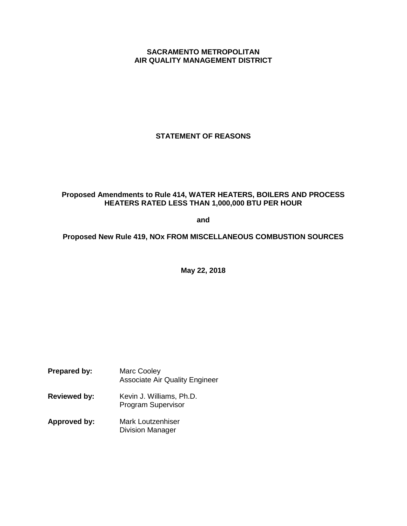# **SACRAMENTO METROPOLITAN AIR QUALITY MANAGEMENT DISTRICT**

**STATEMENT OF REASONS**

# **Proposed Amendments to Rule 414, WATER HEATERS, BOILERS AND PROCESS HEATERS RATED LESS THAN 1,000,000 BTU PER HOUR**

**and**

**Proposed New Rule 419, NOx FROM MISCELLANEOUS COMBUSTION SOURCES**

**May 22, 2018**

- **Prepared by:** Marc Cooley Associate Air Quality Engineer
- **Reviewed by:** Kevin J. Williams, Ph.D. Program Supervisor
- **Approved by:** Mark Loutzenhiser Division Manager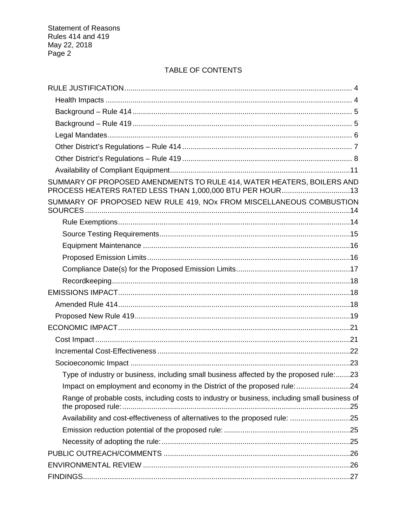# TABLE OF CONTENTS

| SUMMARY OF PROPOSED AMENDMENTS TO RULE 414, WATER HEATERS, BOILERS AND<br>PROCESS HEATERS RATED LESS THAN 1,000,000 BTU PER HOUR13 |  |
|------------------------------------------------------------------------------------------------------------------------------------|--|
| SUMMARY OF PROPOSED NEW RULE 419, NOx FROM MISCELLANEOUS COMBUSTION                                                                |  |
|                                                                                                                                    |  |
|                                                                                                                                    |  |
|                                                                                                                                    |  |
|                                                                                                                                    |  |
|                                                                                                                                    |  |
|                                                                                                                                    |  |
|                                                                                                                                    |  |
|                                                                                                                                    |  |
|                                                                                                                                    |  |
|                                                                                                                                    |  |
|                                                                                                                                    |  |
|                                                                                                                                    |  |
|                                                                                                                                    |  |
| Type of industry or business, including small business affected by the proposed rule:23                                            |  |
| Impact on employment and economy in the District of the proposed rule:24                                                           |  |
| Range of probable costs, including costs to industry or business, including small business of                                      |  |
| Availability and cost-effectiveness of alternatives to the proposed rule: 25                                                       |  |
|                                                                                                                                    |  |
|                                                                                                                                    |  |
|                                                                                                                                    |  |
|                                                                                                                                    |  |
|                                                                                                                                    |  |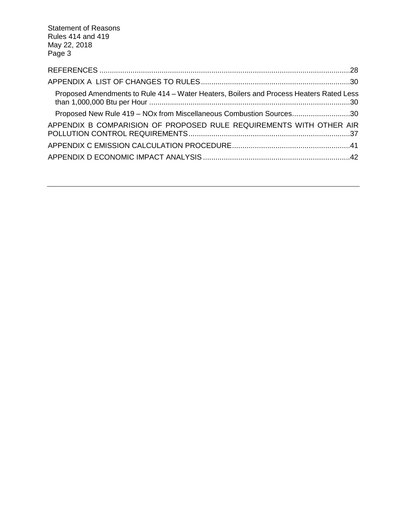| Proposed Amendments to Rule 414 - Water Heaters, Boilers and Process Heaters Rated Less |  |
|-----------------------------------------------------------------------------------------|--|
| Proposed New Rule 419 - NOx from Miscellaneous Combustion Sources30                     |  |
| APPENDIX B COMPARISION OF PROPOSED RULE REQUIREMENTS WITH OTHER AIR                     |  |
|                                                                                         |  |
|                                                                                         |  |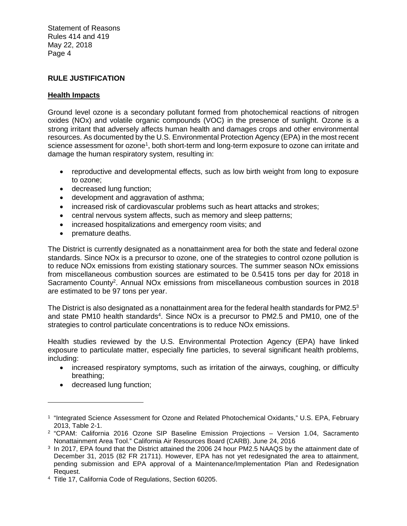# **RULE JUSTIFICATION**

# **Health Impacts**

Ground level ozone is a secondary pollutant formed from photochemical reactions of nitrogen oxides (NOx) and volatile organic compounds (VOC) in the presence of sunlight. Ozone is a strong irritant that adversely affects human health and damages crops and other environmental resources. As documented by the U.S. Environmental Protection Agency (EPA) in the most recent science assessment for ozone<sup>1</sup>, both short-term and long-term exposure to ozone can irritate and damage the human respiratory system, resulting in:

- reproductive and developmental effects, such as low birth weight from long to exposure to ozone;
- decreased lung function;
- development and aggravation of asthma;
- increased risk of cardiovascular problems such as heart attacks and strokes;
- central nervous system affects, such as memory and sleep patterns;
- increased hospitalizations and emergency room visits; and
- premature deaths.

The District is currently designated as a nonattainment area for both the state and federal ozone standards. Since NOx is a precursor to ozone, one of the strategies to control ozone pollution is to reduce NOx emissions from existing stationary sources. The summer season NOx emissions from miscellaneous combustion sources are estimated to be 0.5415 tons per day for 2018 in Sacramento County<sup>2</sup>. Annual NOx emissions from miscellaneous combustion sources in 2018 are estimated to be 97 tons per year.

The District is also designated as a nonattainment area for the federal health standards for PM2.5 $3$ and state PM10 health standards<sup>4</sup>. Since NOx is a precursor to PM2.5 and PM10, one of the strategies to control particulate concentrations is to reduce NOx emissions.

Health studies reviewed by the U.S. Environmental Protection Agency (EPA) have linked exposure to particulate matter, especially fine particles, to several significant health problems, including:

- increased respiratory symptoms, such as irritation of the airways, coughing, or difficulty breathing;
- decreased lung function;

<sup>&</sup>lt;sup>1</sup> "Integrated Science Assessment for Ozone and Related Photochemical Oxidants," U.S. EPA, February 2013, Table 2-1.

<sup>2</sup> "CPAM: California 2016 Ozone SIP Baseline Emission Projections – Version 1.04, Sacramento Nonattainment Area Tool." California Air Resources Board (CARB). June 24, 2016

<sup>3</sup> In 2017, EPA found that the District attained the 2006 24 hour PM2.5 NAAQS by the attainment date of December 31, 2015 (82 FR 21711). However, EPA has not yet redesignated the area to attainment, pending submission and EPA approval of a Maintenance/Implementation Plan and Redesignation Request.

<sup>4</sup> Title 17, California Code of Regulations, Section 60205.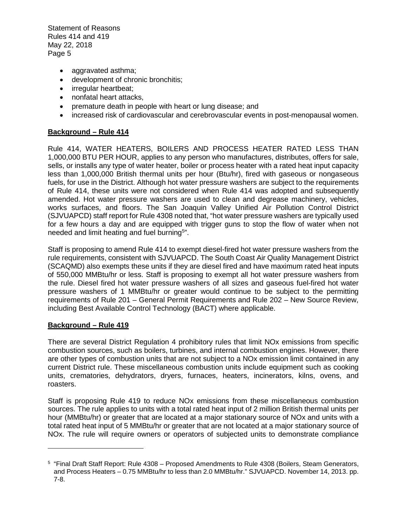- aggravated asthma;
- development of chronic bronchitis;
- irregular heartbeat;
- nonfatal heart attacks,
- premature death in people with heart or lung disease; and
- increased risk of cardiovascular and cerebrovascular events in post-menopausal women.

# **Background – Rule 414**

Rule 414, WATER HEATERS, BOILERS AND PROCESS HEATER RATED LESS THAN 1,000,000 BTU PER HOUR, applies to any person who manufactures, distributes, offers for sale, sells, or installs any type of water heater, boiler or process heater with a rated heat input capacity less than 1,000,000 British thermal units per hour (Btu/hr), fired with gaseous or nongaseous fuels, for use in the District. Although hot water pressure washers are subject to the requirements of Rule 414, these units were not considered when Rule 414 was adopted and subsequently amended. Hot water pressure washers are used to clean and degrease machinery, vehicles, works surfaces, and floors. The San Joaquin Valley Unified Air Pollution Control District (SJVUAPCD) staff report for Rule 4308 noted that, "hot water pressure washers are typically used for a few hours a day and are equipped with trigger guns to stop the flow of water when not needed and limit heating and fuel burning<sup>5</sup>".

Staff is proposing to amend Rule 414 to exempt diesel-fired hot water pressure washers from the rule requirements, consistent with SJVUAPCD. The South Coast Air Quality Management District (SCAQMD) also exempts these units if they are diesel fired and have maximum rated heat inputs of 550,000 MMBtu/hr or less. Staff is proposing to exempt all hot water pressure washers from the rule. Diesel fired hot water pressure washers of all sizes and gaseous fuel-fired hot water pressure washers of 1 MMBtu/hr or greater would continue to be subject to the permitting requirements of Rule 201 – General Permit Requirements and Rule 202 – New Source Review, including Best Available Control Technology (BACT) where applicable.

# **Background – Rule 419**

There are several District Regulation 4 prohibitory rules that limit NOx emissions from specific combustion sources, such as boilers, turbines, and internal combustion engines. However, there are other types of combustion units that are not subject to a NOx emission limit contained in any current District rule. These miscellaneous combustion units include equipment such as cooking units, crematories, dehydrators, dryers, furnaces, heaters, incinerators, kilns, ovens, and roasters.

Staff is proposing Rule 419 to reduce NOx emissions from these miscellaneous combustion sources. The rule applies to units with a total rated heat input of 2 million British thermal units per hour (MMBtu/hr) or greater that are located at a major stationary source of NOx and units with a total rated heat input of 5 MMBtu/hr or greater that are not located at a major stationary source of NOx. The rule will require owners or operators of subjected units to demonstrate compliance

<sup>5</sup> "Final Draft Staff Report: Rule 4308 – Proposed Amendments to Rule 4308 (Boilers, Steam Generators, and Process Heaters – 0.75 MMBtu/hr to less than 2.0 MMBtu/hr." SJVUAPCD. November 14, 2013. pp. 7-8.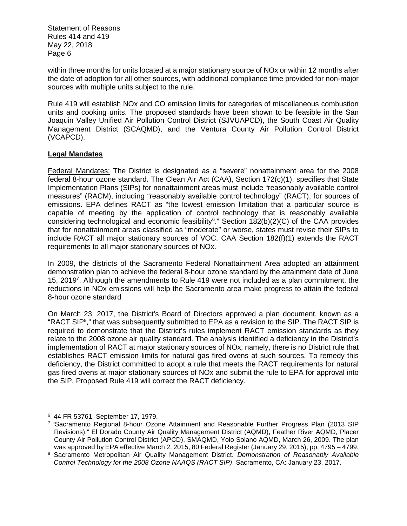within three months for units located at a major stationary source of NOx or within 12 months after the date of adoption for all other sources, with additional compliance time provided for non-major sources with multiple units subject to the rule.

Rule 419 will establish NOx and CO emission limits for categories of miscellaneous combustion units and cooking units. The proposed standards have been shown to be feasible in the San Joaquin Valley Unified Air Pollution Control District (SJVUAPCD), the South Coast Air Quality Management District (SCAQMD), and the Ventura County Air Pollution Control District (VCAPCD).

# **Legal Mandates**

Federal Mandates: The District is designated as a "severe" nonattainment area for the 2008 federal 8-hour ozone standard. The Clean Air Act (CAA), Section 172(c)(1), specifies that State Implementation Plans (SIPs) for nonattainment areas must include "reasonably available control measures" (RACM), including "reasonably available control technology" (RACT), for sources of emissions. EPA defines RACT as "the lowest emission limitation that a particular source is capable of meeting by the application of control technology that is reasonably available considering technological and economic feasibility<sup>6</sup>." Section 182(b)(2)(C) of the CAA provides that for nonattainment areas classified as "moderate" or worse, states must revise their SIPs to include RACT all major stationary sources of VOC. CAA Section 182(f)(1) extends the RACT requirements to all major stationary sources of NOx.

In 2009, the districts of the Sacramento Federal Nonattainment Area adopted an attainment demonstration plan to achieve the federal 8-hour ozone standard by the attainment date of June 15, 2019<sup>7</sup>. Although the amendments to Rule 419 were not included as a plan commitment, the reductions in NOx emissions will help the Sacramento area make progress to attain the federal 8-hour ozone standard

On March 23, 2017, the District's Board of Directors approved a plan document, known as a "RACT SIP<sup>8</sup>," that was subsequently submitted to EPA as a revision to the SIP. The RACT SIP is required to demonstrate that the District's rules implement RACT emission standards as they relate to the 2008 ozone air quality standard. The analysis identified a deficiency in the District's implementation of RACT at major stationary sources of NOx; namely, there is no District rule that establishes RACT emission limits for natural gas fired ovens at such sources. To remedy this deficiency, the District committed to adopt a rule that meets the RACT requirements for natural gas fired ovens at major stationary sources of NOx and submit the rule to EPA for approval into the SIP. Proposed Rule 419 will correct the RACT deficiency.

<sup>6</sup> 44 FR 53761, September 17, 1979.

<sup>7</sup> "Sacramento Regional 8-hour Ozone Attainment and Reasonable Further Progress Plan (2013 SIP Revisions)." El Dorado County Air Quality Management District (AQMD), Feather River AQMD, Placer County Air Pollution Control District (APCD), SMAQMD, Yolo Solano AQMD, March 26, 2009. The plan was approved by EPA effective March 2, 2015, 80 Federal Register (January 29, 2015), pp. 4795 – 4799.

<sup>8</sup> Sacramento Metropolitan Air Quality Management District. *Demonstration of Reasonably Available Control Technology for the 2008 Ozone NAAQS (RACT SIP)*. Sacramento, CA: January 23, 2017.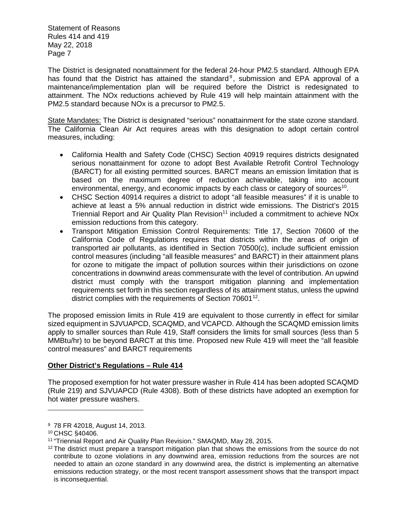The District is designated nonattainment for the federal 24-hour PM2.5 standard. Although EPA has found that the District has attained the standard<sup>9</sup>, submission and EPA approval of a maintenance/implementation plan will be required before the District is redesignated to attainment. The NOx reductions achieved by Rule 419 will help maintain attainment with the PM2.5 standard because NOx is a precursor to PM2.5.

State Mandates: The District is designated "serious" nonattainment for the state ozone standard. The California Clean Air Act requires areas with this designation to adopt certain control measures, including:

- California Health and Safety Code (CHSC) Section 40919 requires districts designated serious nonattainment for ozone to adopt Best Available Retrofit Control Technology (BARCT) for all existing permitted sources. BARCT means an emission limitation that is based on the maximum degree of reduction achievable, taking into account environmental, energy, and economic impacts by each class or category of sources<sup>10</sup>.
- CHSC Section 40914 requires a district to adopt "all feasible measures" if it is unable to achieve at least a 5% annual reduction in district wide emissions. The District's 2015 Triennial Report and Air Quality Plan Revision<sup>11</sup> included a commitment to achieve NOx emission reductions from this category.
- Transport Mitigation Emission Control Requirements: Title 17, Section 70600 of the California Code of Regulations requires that districts within the areas of origin of transported air pollutants, as identified in Section 70500(c), include sufficient emission control measures (including "all feasible measures" and BARCT) in their attainment plans for ozone to mitigate the impact of pollution sources within their jurisdictions on ozone concentrations in downwind areas commensurate with the level of contribution. An upwind district must comply with the transport mitigation planning and implementation requirements set forth in this section regardless of its attainment status, unless the upwind district complies with the requirements of Section 70601<sup>12</sup>.

The proposed emission limits in Rule 419 are equivalent to those currently in effect for similar sized equipment in SJVUAPCD, SCAQMD, and VCAPCD. Although the SCAQMD emission limits apply to smaller sources than Rule 419, Staff considers the limits for small sources (less than 5 MMBtu/hr) to be beyond BARCT at this time. Proposed new Rule 419 will meet the "all feasible control measures" and BARCT requirements

# **Other District's Regulations – Rule 414**

The proposed exemption for hot water pressure washer in Rule 414 has been adopted SCAQMD (Rule 219) and SJVUAPCD (Rule 4308). Both of these districts have adopted an exemption for hot water pressure washers.

<sup>9</sup> 78 FR 42018, August 14, 2013.

<sup>10</sup> CHSC §40406.

<sup>11</sup> "Triennial Report and Air Quality Plan Revision." SMAQMD, May 28, 2015.

 $12$  The district must prepare a transport mitigation plan that shows the emissions from the source do not contribute to ozone violations in any downwind area, emission reductions from the sources are not needed to attain an ozone standard in any downwind area, the district is implementing an alternative emissions reduction strategy, or the most recent transport assessment shows that the transport impact is inconsequential.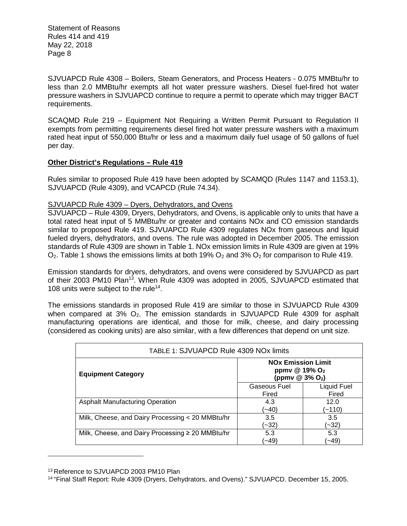SJVUAPCD Rule 4308 – Boilers, Steam Generators, and Process Heaters - 0.075 MMBtu/hr to less than 2.0 MMBtu/hr exempts all hot water pressure washers. Diesel fuel-fired hot water pressure washers in SJVUAPCD continue to require a permit to operate which may trigger BACT requirements.

SCAQMD Rule 219 – Equipment Not Requiring a Written Permit Pursuant to Regulation II exempts from permitting requirements diesel fired hot water pressure washers with a maximum rated heat input of 550,000 Btu/hr or less and a maximum daily fuel usage of 50 gallons of fuel per day.

# **Other District's Regulations – Rule 419**

Rules similar to proposed Rule 419 have been adopted by SCAMQD (Rules 1147 and 1153.1), SJVUAPCD (Rule 4309), and VCAPCD (Rule 74.34).

# SJVUAPCD Rule 4309 – Dyers, Dehydrators, and Ovens

SJVUAPCD – Rule 4309, Dryers, Dehydrators, and Ovens, is applicable only to units that have a total rated heat input of 5 MMBtu/hr or greater and contains NOx and CO emission standards similar to proposed Rule 419. SJVUAPCD Rule 4309 regulates NOx from gaseous and liquid fueled dryers, dehydrators, and ovens. The rule was adopted in December 2005. The emission standards of Rule 4309 are shown in Table 1. NOx emission limits in Rule 4309 are given at 19%  $O_2$ . Table 1 shows the emissions limits at both 19%  $O_2$  and 3%  $O_2$  for comparison to Rule 419.

Emission standards for dryers, dehydrators, and ovens were considered by SJVUAPCD as part of their 2003 PM10 Plan<sup>13</sup>. When Rule 4309 was adopted in 2005, SJVUAPCD estimated that 108 units were subject to the rule<sup>14</sup>.

The emissions standards in proposed Rule 419 are similar to those in SJVUAPCD Rule 4309 when compared at  $3\%$   $O_2$ . The emission standards in SJVUAPCD Rule 4309 for asphalt manufacturing operations are identical, and those for milk, cheese, and dairy processing (considered as cooking units) are also similar, with a few differences that depend on unit size.

| TABLE 1: SJVUAPCD Rule 4309 NOx limits                |                                                                                        |                      |  |
|-------------------------------------------------------|----------------------------------------------------------------------------------------|----------------------|--|
| <b>Equipment Category</b>                             | <b>NO<sub>x</sub></b> Emission Limit<br>ppmv @ 19% $O2$<br>(ppmv @ 3% O <sub>2</sub> ) |                      |  |
|                                                       | Gaseous Fuel<br>Fired                                                                  | Liquid Fuel<br>Fired |  |
| <b>Asphalt Manufacturing Operation</b>                | 4.3<br>(~40)                                                                           | 12.0<br>(~110)       |  |
| Milk, Cheese, and Dairy Processing < 20 MMBtu/hr      | 3.5<br>(~32)                                                                           | 3.5<br>(~32)         |  |
| Milk, Cheese, and Dairy Processing $\geq 20$ MMBtu/hr | 5.3<br>(~49)                                                                           | 5.3<br>(49∼′         |  |

<sup>13</sup> Reference to SJVUAPCD 2003 PM10 Plan

<sup>14</sup> "Final Staff Report: Rule 4309 (Dryers, Dehydrators, and Ovens)." SJVUAPCD. December 15, 2005.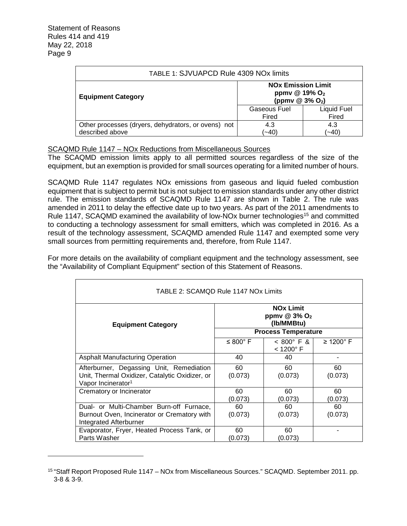| TABLE 1: SJVUAPCD Rule 4309 NOx limits                                 |                                                                                     |                      |  |
|------------------------------------------------------------------------|-------------------------------------------------------------------------------------|----------------------|--|
| <b>Equipment Category</b>                                              | <b>NO<sub>x</sub></b> Emission Limit<br>ppmv @ 19% O <sub>2</sub><br>(ppmv @ 3% O2) |                      |  |
|                                                                        | Gaseous Fuel<br>Fired                                                               | Liquid Fuel<br>Fired |  |
| Other processes (dryers, dehydrators, or ovens) not<br>described above | 4.3<br>$(-40)$                                                                      | 4.3<br>(~40)         |  |

#### SCAQMD Rule 1147 – NOx Reductions from Miscellaneous Sources

The SCAQMD emission limits apply to all permitted sources regardless of the size of the equipment, but an exemption is provided for small sources operating for a limited number of hours.

SCAQMD Rule 1147 regulates NOx emissions from gaseous and liquid fueled combustion equipment that is subject to permit but is not subject to emission standards under any other district rule. The emission standards of SCAQMD Rule 1147 are shown in Table 2. The rule was amended in 2011 to delay the effective date up to two years. As part of the 2011 amendments to Rule 1147, SCAQMD examined the availability of low-NO<sub>x</sub> burner technologies<sup>15</sup> and committed to conducting a technology assessment for small emitters, which was completed in 2016. As a result of the technology assessment, SCAQMD amended Rule 1147 and exempted some very small sources from permitting requirements and, therefore, from Rule 1147.

For more details on the availability of compliant equipment and the technology assessment, see the "Availability of Compliant Equipment" section of this Statement of Reasons.

| TABLE 2: SCAMOD Rule 1147 NOx Limits                                                                                         |                            |                                              |                          |  |
|------------------------------------------------------------------------------------------------------------------------------|----------------------------|----------------------------------------------|--------------------------|--|
| <b>NOx Limit</b><br>ppmv $@3\%$ O <sub>2</sub><br>(Ib/MMBtu)<br><b>Equipment Category</b>                                    |                            |                                              |                          |  |
|                                                                                                                              | <b>Process Temperature</b> |                                              |                          |  |
|                                                                                                                              | $\leq 800^\circ$ F         | $< 800^{\circ}$ F &<br>$<$ 1200 $^{\circ}$ F | $\geq$ 1200 $^{\circ}$ F |  |
| <b>Asphalt Manufacturing Operation</b>                                                                                       | 40                         | 40                                           |                          |  |
| Afterburner, Degassing Unit, Remediation<br>Unit, Thermal Oxidizer, Catalytic Oxidizer, or<br>Vapor Incinerator <sup>1</sup> | 60<br>(0.073)              | 60<br>(0.073)                                | 60<br>(0.073)            |  |
| Crematory or Incinerator                                                                                                     | 60<br>(0.073)              | 60<br>(0.073)                                | 60<br>(0.073)            |  |
| Dual- or Multi-Chamber Burn-off Furnace,<br>Burnout Oven, Incinerator or Crematory with<br><b>Integrated Afterburner</b>     | 60<br>(0.073)              | 60<br>(0.073)                                | 60<br>(0.073)            |  |
| Evaporator, Fryer, Heated Process Tank, or<br>Parts Washer                                                                   | 60<br>(0.073)              | 60<br>(0.073)                                |                          |  |

<sup>15</sup> "Staff Report Proposed Rule 1147 – NOx from Miscellaneous Sources." SCAQMD. September 2011. pp. 3-8 & 3-9.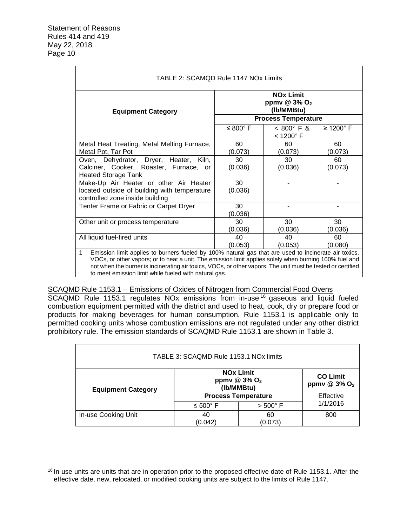| <b>Equipment Category</b>                                                                                                                  | <b>NOx Limit</b><br>ppmv @ 3% O <sub>2</sub><br>(Ib/MMBtu)<br><b>Process Temperature</b> |               |               |  |  |
|--------------------------------------------------------------------------------------------------------------------------------------------|------------------------------------------------------------------------------------------|---------------|---------------|--|--|
|                                                                                                                                            | $\leq 800^\circ$ F<br>$\geq 1200$ °F<br>$< 800^{\circ}$ F &<br>$<$ 1200 $^{\circ}$ F     |               |               |  |  |
| Metal Heat Treating, Metal Melting Furnace,<br>Metal Pot, Tar Pot                                                                          | 60<br>(0.073)                                                                            | 60<br>(0.073) | 60<br>(0.073) |  |  |
| Oven, Dehydrator, Dryer, Heater, Kiln,<br>Calciner, Cooker, Roaster, Furnace, or<br><b>Heated Storage Tank</b>                             | 30<br>(0.036)                                                                            | 30<br>(0.036) | 60<br>(0.073) |  |  |
| Make-Up Air Heater or other Air Heater<br>30<br>located outside of building with temperature<br>(0.036)<br>controlled zone inside building |                                                                                          |               |               |  |  |
| Tenter Frame or Fabric or Carpet Dryer<br>30<br>(0.036)                                                                                    |                                                                                          |               |               |  |  |
| Other unit or process temperature                                                                                                          | 30<br>(0.036)                                                                            | 30<br>(0.036) | 30<br>(0.036) |  |  |
| All liquid fuel-fired units<br>40<br>40<br>60<br>(0.053)<br>(0.053)<br>(0.080)                                                             |                                                                                          |               |               |  |  |

# SCAQMD Rule 1153.1 – Emissions of Oxides of Nitrogen from Commercial Food Ovens

SCAQMD Rule 1153.1 regulates NOx emissions from in-use<sup>16</sup> gaseous and liquid fueled combustion equipment permitted with the district and used to heat, cook, dry or prepare food or products for making beverages for human consumption. Rule 1153.1 is applicable only to permitted cooking units whose combustion emissions are not regulated under any other district prohibitory rule. The emission standards of SCAQMD Rule 1153.1 are shown in Table 3.

| TABLE 3: SCAQMD Rule 1153.1 NOx limits                                                                                                            |                                                     |               |           |  |
|---------------------------------------------------------------------------------------------------------------------------------------------------|-----------------------------------------------------|---------------|-----------|--|
| <b>NO<sub>x</sub></b> Limit<br><b>CO Limit</b><br>ppmv @ 3% O <sub>2</sub><br>ppmv @ 3% O <sub>2</sub><br>(Ib/MMBtu)<br><b>Equipment Category</b> |                                                     |               |           |  |
|                                                                                                                                                   | <b>Process Temperature</b>                          |               | Effective |  |
|                                                                                                                                                   | 1/1/2016<br>$\leq 500^{\circ}$ F<br>$> 500^\circ$ F |               |           |  |
| In-use Cooking Unit                                                                                                                               | 40<br>(0.042)                                       | 60<br>(0.073) | 800       |  |

<sup>&</sup>lt;sup>16</sup> In-use units are units that are in operation prior to the proposed effective date of Rule 1153.1. After the effective date, new, relocated, or modified cooking units are subject to the limits of Rule 1147.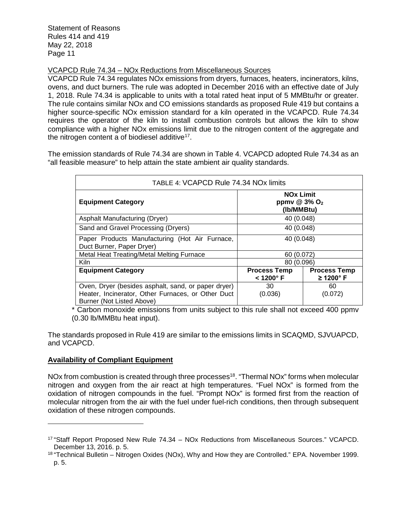VCAPCD Rule 74.34 – NOx Reductions from Miscellaneous Sources

VCAPCD Rule 74.34 regulates NOx emissions from dryers, furnaces, heaters, incinerators, kilns, ovens, and duct burners. The rule was adopted in December 2016 with an effective date of July 1, 2018. Rule 74.34 is applicable to units with a total rated heat input of 5 MMBtu/hr or greater. The rule contains similar NOx and CO emissions standards as proposed Rule 419 but contains a higher source-specific NOx emission standard for a kiln operated in the VCAPCD. Rule 74.34 requires the operator of the kiln to install combustion controls but allows the kiln to show compliance with a higher NOx emissions limit due to the nitrogen content of the aggregate and the nitrogen content a of biodiesel additive<sup>17</sup>.

The emission standards of Rule 74.34 are shown in Table 4. VCAPCD adopted Rule 74.34 as an "all feasible measure" to help attain the state ambient air quality standards.

| TABLE 4: VCAPCD Rule 74.34 NOx limits                                                                                                  |                                                                                       |  |  |
|----------------------------------------------------------------------------------------------------------------------------------------|---------------------------------------------------------------------------------------|--|--|
| <b>Equipment Category</b>                                                                                                              | <b>NOx Limit</b><br>ppmv $@3\%$ O <sub>2</sub><br>(Ib/MMBtu)                          |  |  |
| Asphalt Manufacturing (Dryer)                                                                                                          | 40 (0.048)                                                                            |  |  |
| Sand and Gravel Processing (Dryers)                                                                                                    | 40 (0.048)                                                                            |  |  |
| Paper Products Manufacturing (Hot Air Furnace,<br>Duct Burner, Paper Dryer)                                                            | 40 (0.048)                                                                            |  |  |
| Metal Heat Treating/Metal Melting Furnace                                                                                              | 60 (0.072)                                                                            |  |  |
| Kiln                                                                                                                                   | 80 (0.096)                                                                            |  |  |
| <b>Equipment Category</b>                                                                                                              | <b>Process Temp</b><br><b>Process Temp</b><br>$\geq$ 1200° F<br>$<$ 1200 $^{\circ}$ F |  |  |
| Oven, Dryer (besides asphalt, sand, or paper dryer)<br>Heater, Incinerator, Other Furnaces, or Other Duct<br>Burner (Not Listed Above) | 30<br>60<br>(0.036)<br>(0.072)                                                        |  |  |

\* Carbon monoxide emissions from units subject to this rule shall not exceed 400 ppmv (0.30 lb/MMBtu heat input).

The standards proposed in Rule 419 are similar to the emissions limits in SCAQMD, SJVUAPCD, and VCAPCD.

# **Availability of Compliant Equipment**

NOx from combustion is created through three processes<sup>18</sup>. "Thermal NOx" forms when molecular nitrogen and oxygen from the air react at high temperatures. "Fuel NOx" is formed from the oxidation of nitrogen compounds in the fuel. "Prompt NOx" is formed first from the reaction of molecular nitrogen from the air with the fuel under fuel-rich conditions, then through subsequent oxidation of these nitrogen compounds.

<sup>17</sup> "Staff Report Proposed New Rule 74.34 – NOx Reductions from Miscellaneous Sources." VCAPCD. December 13, 2016. p. 5.

<sup>18</sup> "Technical Bulletin – Nitrogen Oxides (NOx), Why and How they are Controlled." EPA. November 1999. p. 5.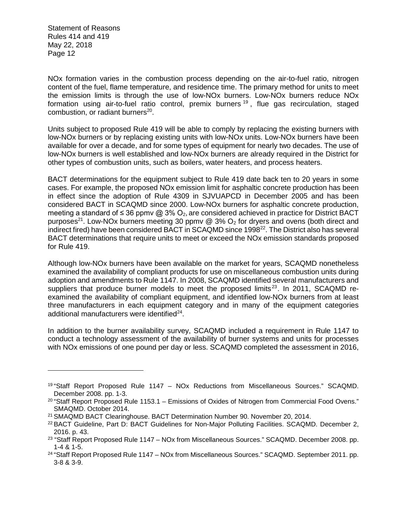NOx formation varies in the combustion process depending on the air-to-fuel ratio, nitrogen content of the fuel, flame temperature, and residence time. The primary method for units to meet the emission limits is through the use of low-NOx burners. Low-NOx burners reduce NOx formation using air-to-fuel ratio control, premix burners<sup>19</sup>, flue gas recirculation, staged combustion, or radiant burners<sup>20</sup>.

Units subject to proposed Rule 419 will be able to comply by replacing the existing burners with low-NOx burners or by replacing existing units with low-NOx units. Low-NOx burners have been available for over a decade, and for some types of equipment for nearly two decades. The use of low-NOx burners is well established and low-NOx burners are already required in the District for other types of combustion units, such as boilers, water heaters, and process heaters.

BACT determinations for the equipment subject to Rule 419 date back ten to 20 years in some cases. For example, the proposed NOx emission limit for asphaltic concrete production has been in effect since the adoption of Rule 4309 in SJVUAPCD in December 2005 and has been considered BACT in SCAQMD since 2000. Low-NOx burners for asphaltic concrete production, meeting a standard of ≤ 36 ppmv @ 3% O<sub>2</sub>, are considered achieved in practice for District BACT purposes<sup>21</sup>. Low-NOx burners meeting 30 ppmv  $@$  3% O<sub>2</sub> for dryers and ovens (both direct and indirect fired) have been considered BACT in SCAQMD since 1998<sup>22</sup>. The District also has several BACT determinations that require units to meet or exceed the NOx emission standards proposed for Rule 419.

Although low-NOx burners have been available on the market for years, SCAQMD nonetheless examined the availability of compliant products for use on miscellaneous combustion units during adoption and amendments to Rule 1147. In 2008, SCAQMD identified several manufacturers and suppliers that produce burner models to meet the proposed limits<sup>23</sup>. In 2011, SCAQMD reexamined the availability of compliant equipment, and identified low-NOx burners from at least three manufacturers in each equipment category and in many of the equipment categories additional manufacturers were identified<sup>24</sup>.

In addition to the burner availability survey, SCAQMD included a requirement in Rule 1147 to conduct a technology assessment of the availability of burner systems and units for processes with NOx emissions of one pound per day or less. SCAQMD completed the assessment in 2016,

<sup>19</sup> "Staff Report Proposed Rule 1147 – NOx Reductions from Miscellaneous Sources." SCAQMD. December 2008. pp. 1-3.

 $20$  "Staff Report Proposed Rule 1153.1 – Emissions of Oxides of Nitrogen from Commercial Food Ovens." SMAQMD. October 2014.

<sup>21</sup> SMAQMD BACT Clearinghouse. BACT Determination Number 90. November 20, 2014.

<sup>&</sup>lt;sup>22</sup> BACT Guideline, Part D: BACT Guidelines for Non-Major Polluting Facilities. SCAQMD. December 2, 2016. p. 43.

<sup>&</sup>lt;sup>23</sup> "Staff Report Proposed Rule 1147 – NOx from Miscellaneous Sources." SCAQMD. December 2008. pp. 1-4 & 1-5.

<sup>24</sup> "Staff Report Proposed Rule 1147 – NOx from Miscellaneous Sources." SCAQMD. September 2011. pp. 3-8 & 3-9.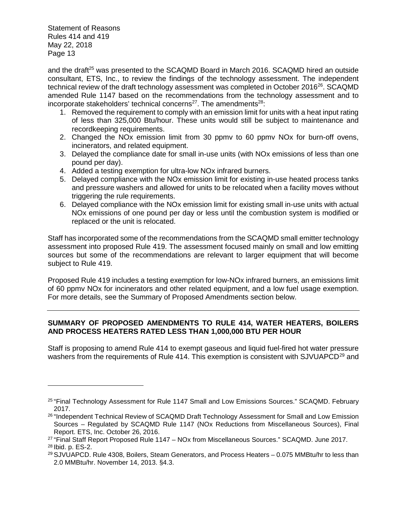and the draft<sup>25</sup> was presented to the SCAQMD Board in March 2016. SCAQMD hired an outside consultant, ETS, Inc., to review the findings of the technology assessment. The independent technical review of the draft technology assessment was completed in October 2016<sup>26</sup>. SCAQMD amended Rule 1147 based on the recommendations from the technology assessment and to incorporate stakeholders' technical concerns<sup>27</sup>. The amendments<sup>28</sup>:

- 1. Removed the requirement to comply with an emission limit for units with a heat input rating of less than 325,000 Btu/hour. These units would still be subject to maintenance and recordkeeping requirements.
- 2. Changed the NOx emission limit from 30 ppmv to 60 ppmv NOx for burn-off ovens, incinerators, and related equipment.
- 3. Delayed the compliance date for small in-use units (with NOx emissions of less than one pound per day).
- 4. Added a testing exemption for ultra-low NOx infrared burners.
- 5. Delayed compliance with the NOx emission limit for existing in-use heated process tanks and pressure washers and allowed for units to be relocated when a facility moves without triggering the rule requirements.
- 6. Delayed compliance with the NOx emission limit for existing small in-use units with actual NOx emissions of one pound per day or less until the combustion system is modified or replaced or the unit is relocated.

Staff has incorporated some of the recommendations from the SCAQMD small emitter technology assessment into proposed Rule 419. The assessment focused mainly on small and low emitting sources but some of the recommendations are relevant to larger equipment that will become subject to Rule 419.

Proposed Rule 419 includes a testing exemption for low-NOx infrared burners, an emissions limit of 60 ppmv NOx for incinerators and other related equipment, and a low fuel usage exemption. For more details, see the Summary of Proposed Amendments section below.

# **SUMMARY OF PROPOSED AMENDMENTS TO RULE 414, WATER HEATERS, BOILERS AND PROCESS HEATERS RATED LESS THAN 1,000,000 BTU PER HOUR**

Staff is proposing to amend Rule 414 to exempt gaseous and liquid fuel-fired hot water pressure washers from the requirements of Rule 414. This exemption is consistent with SJVUAPCD<sup>29</sup> and

<sup>25</sup> "Final Technology Assessment for Rule 1147 Small and Low Emissions Sources." SCAQMD. February 2017.

<sup>&</sup>lt;sup>26</sup> "Independent Technical Review of SCAQMD Draft Technology Assessment for Small and Low Emission Sources – Regulated by SCAQMD Rule 1147 (NOx Reductions from Miscellaneous Sources), Final Report. ETS, Inc. October 26, 2016.

<sup>27</sup> "Final Staff Report Proposed Rule 1147 – NOx from Miscellaneous Sources." SCAQMD. June 2017. <sup>28</sup> Ibid. p. ES-2.

<sup>29</sup> SJVUAPCD. Rule 4308, Boilers, Steam Generators, and Process Heaters – 0.075 MMBtu/hr to less than 2.0 MMBtu/hr. November 14, 2013. §4.3.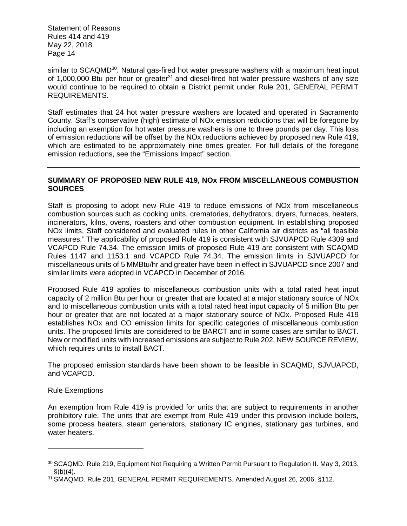similar to SCAQMD<sup>30</sup>. Natural gas-fired hot water pressure washers with a maximum heat input of 1,000,000 Btu per hour or greater $31$  and diesel-fired hot water pressure washers of any size would continue to be required to obtain a District permit under Rule 201, GENERAL PERMIT REQUIREMENTS.

Staff estimates that 24 hot water pressure washers are located and operated in Sacramento County. Staff's conservative (high) estimate of NOx emission reductions that will be foregone by including an exemption for hot water pressure washers is one to three pounds per day. This loss of emission reductions will be offset by the NOx reductions achieved by proposed new Rule 419, which are estimated to be approximately nine times greater. For full details of the foregone emission reductions, see the "Emissions Impact" section.

# **SUMMARY OF PROPOSED NEW RULE 419, NOx FROM MISCELLANEOUS COMBUSTION SOURCES**

Staff is proposing to adopt new Rule 419 to reduce emissions of NOx from miscellaneous combustion sources such as cooking units, crematories, dehydrators, dryers, furnaces, heaters, incinerators, kilns, ovens, roasters and other combustion equipment. In establishing proposed NOx limits, Staff considered and evaluated rules in other California air districts as "all feasible measures." The applicability of proposed Rule 419 is consistent with SJVUAPCD Rule 4309 and VCAPCD Rule 74.34. The emission limits of proposed Rule 419 are consistent with SCAQMD Rules 1147 and 1153.1 and VCAPCD Rule 74.34. The emission limits in SJVUAPCD for miscellaneous units of 5 MMBtu/hr and greater have been in effect in SJVUAPCD since 2007 and similar limits were adopted in VCAPCD in December of 2016.

Proposed Rule 419 applies to miscellaneous combustion units with a total rated heat input capacity of 2 million Btu per hour or greater that are located at a major stationary source of NOx and to miscellaneous combustion units with a total rated heat input capacity of 5 million Btu per hour or greater that are not located at a major stationary source of NOx. Proposed Rule 419 establishes NOx and CO emission limits for specific categories of miscellaneous combustion units. The proposed limits are considered to be BARCT and in some cases are similar to BACT. New or modified units with increased emissions are subject to Rule 202, NEW SOURCE REVIEW, which requires units to install BACT.

The proposed emission standards have been shown to be feasible in SCAQMD, SJVUAPCD, and VCAPCD.

#### Rule Exemptions

An exemption from Rule 419 is provided for units that are subject to requirements in another prohibitory rule. The units that are exempt from Rule 419 under this provision include boilers, some process heaters, steam generators, stationary IC engines, stationary gas turbines, and water heaters.

<sup>30</sup> SCAQMD. Rule 219, Equipment Not Requiring a Written Permit Pursuant to Regulation II. May 3, 2013.  $\$(b)(4)$ .

<sup>31</sup> SMAQMD. Rule 201, GENERAL PERMIT REQUIREMENTS. Amended August 26, 2006. §112.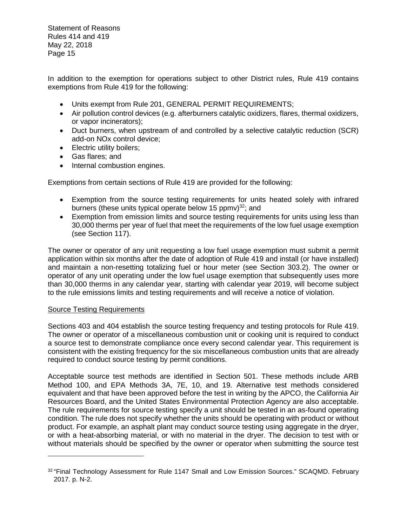In addition to the exemption for operations subject to other District rules, Rule 419 contains exemptions from Rule 419 for the following:

- Units exempt from Rule 201, GENERAL PERMIT REQUIREMENTS;
- Air pollution control devices (e.g. afterburners catalytic oxidizers, flares, thermal oxidizers, or vapor incinerators);
- Duct burners, when upstream of and controlled by a selective catalytic reduction (SCR) add-on NOx control device;
- Electric utility boilers;
- Gas flares; and
- Internal combustion engines.

Exemptions from certain sections of Rule 419 are provided for the following:

- Exemption from the source testing requirements for units heated solely with infrared burners (these units typical operate below 15 ppmv) $32$ ; and
- Exemption from emission limits and source testing requirements for units using less than 30,000 therms per year of fuel that meet the requirements of the low fuel usage exemption (see Section 117).

The owner or operator of any unit requesting a low fuel usage exemption must submit a permit application within six months after the date of adoption of Rule 419 and install (or have installed) and maintain a non-resetting totalizing fuel or hour meter (see Section 303.2). The owner or operator of any unit operating under the low fuel usage exemption that subsequently uses more than 30,000 therms in any calendar year, starting with calendar year 2019, will become subject to the rule emissions limits and testing requirements and will receive a notice of violation.

#### Source Testing Requirements

Sections 403 and 404 establish the source testing frequency and testing protocols for Rule 419. The owner or operator of a miscellaneous combustion unit or cooking unit is required to conduct a source test to demonstrate compliance once every second calendar year. This requirement is consistent with the existing frequency for the six miscellaneous combustion units that are already required to conduct source testing by permit conditions.

Acceptable source test methods are identified in Section 501. These methods include ARB Method 100, and EPA Methods 3A, 7E, 10, and 19. Alternative test methods considered equivalent and that have been approved before the test in writing by the APCO, the California Air Resources Board, and the United States Environmental Protection Agency are also acceptable. The rule requirements for source testing specify a unit should be tested in an as-found operating condition. The rule does not specify whether the units should be operating with product or without product. For example, an asphalt plant may conduct source testing using aggregate in the dryer, or with a heat-absorbing material, or with no material in the dryer. The decision to test with or without materials should be specified by the owner or operator when submitting the source test

<sup>32</sup> "Final Technology Assessment for Rule 1147 Small and Low Emission Sources." SCAQMD. February 2017. p. N-2.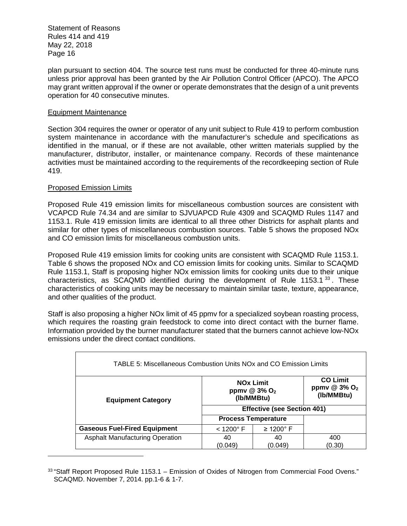plan pursuant to section 404. The source test runs must be conducted for three 40-minute runs unless prior approval has been granted by the Air Pollution Control Officer (APCO). The APCO may grant written approval if the owner or operate demonstrates that the design of a unit prevents operation for 40 consecutive minutes.

#### Equipment Maintenance

Section 304 requires the owner or operator of any unit subject to Rule 419 to perform combustion system maintenance in accordance with the manufacturer's schedule and specifications as identified in the manual, or if these are not available, other written materials supplied by the manufacturer, distributor, installer, or maintenance company. Records of these maintenance activities must be maintained according to the requirements of the recordkeeping section of Rule 419.

# Proposed Emission Limits

Proposed Rule 419 emission limits for miscellaneous combustion sources are consistent with VCAPCD Rule 74.34 and are similar to SJVUAPCD Rule 4309 and SCAQMD Rules 1147 and 1153.1. Rule 419 emission limits are identical to all three other Districts for asphalt plants and similar for other types of miscellaneous combustion sources. Table 5 shows the proposed NOx and CO emission limits for miscellaneous combustion units.

Proposed Rule 419 emission limits for cooking units are consistent with SCAQMD Rule 1153.1. Table 6 shows the proposed NOx and CO emission limits for cooking units. Similar to SCAQMD Rule 1153.1, Staff is proposing higher NOx emission limits for cooking units due to their unique characteristics, as SCAQMD identified during the development of Rule 1153.1 $^{33}$ . These characteristics of cooking units may be necessary to maintain similar taste, texture, appearance, and other qualities of the product.

Staff is also proposing a higher NOx limit of 45 ppmv for a specialized soybean roasting process, which requires the roasting grain feedstock to come into direct contact with the burner flame. Information provided by the burner manufacturer stated that the burners cannot achieve low-NOx emissions under the direct contact conditions.

| TABLE 5: Miscellaneous Combustion Units NOx and CO Emission Limits                                                                                        |                       |                            |        |  |
|-----------------------------------------------------------------------------------------------------------------------------------------------------------|-----------------------|----------------------------|--------|--|
| <b>CO Limit</b><br><b>NOx Limit</b><br>ppmv $@3\%$ O <sub>2</sub><br>ppmv @ $3\%$ O <sub>2</sub><br>(Ib/MMBtu)<br>(Ib/MMBtu)<br><b>Equipment Category</b> |                       |                            |        |  |
| <b>Effective (see Section 401)</b>                                                                                                                        |                       |                            |        |  |
|                                                                                                                                                           |                       | <b>Process Temperature</b> |        |  |
| <b>Gaseous Fuel-Fired Equipment</b>                                                                                                                       | $<$ 1200 $^{\circ}$ F | $\geq$ 1200 $^{\circ}$ F   |        |  |
| <b>Asphalt Manufacturing Operation</b>                                                                                                                    | 40                    | 40                         | 400    |  |
|                                                                                                                                                           | (0.049)               | (0.049)                    | (0.30) |  |

<sup>33</sup> "Staff Report Proposed Rule 1153.1 – Emission of Oxides of Nitrogen from Commercial Food Ovens." SCAQMD. November 7, 2014. pp.1-6 & 1-7.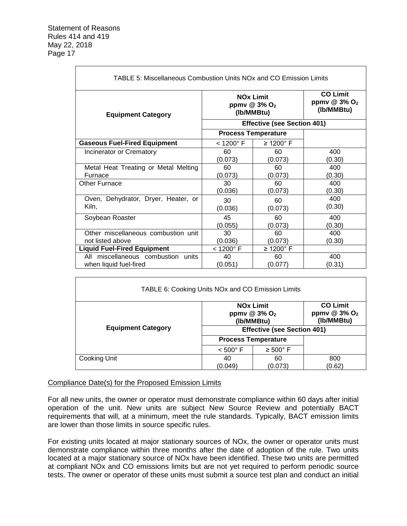Г

| <b>TABLE 5: Miscellaneous Combustion Units NOx and CO Emission Limits</b> |                       |                                                                          |                                                             |  |
|---------------------------------------------------------------------------|-----------------------|--------------------------------------------------------------------------|-------------------------------------------------------------|--|
| <b>Equipment Category</b>                                                 |                       | <b>NO<sub>x</sub></b> Limit<br>ppmv @ $3\%$ O <sub>2</sub><br>(Ib/MMBtu) | <b>CO Limit</b><br>ppmv $@3\%$ O <sub>2</sub><br>(Ib/MMBtu) |  |
| <b>Effective (see Section 401)</b>                                        |                       |                                                                          |                                                             |  |
|                                                                           |                       | <b>Process Temperature</b>                                               |                                                             |  |
| <b>Gaseous Fuel-Fired Equipment</b>                                       | $<$ 1200 $^{\circ}$ F | $\geq$ 1200 $^{\circ}$ F                                                 |                                                             |  |
| Incinerator or Crematory                                                  | 60                    | 60                                                                       | 400                                                         |  |
|                                                                           | (0.073)               | (0.073)                                                                  | (0.30)                                                      |  |
| Metal Heat Treating or Metal Melting                                      | 60                    | 60                                                                       | 400                                                         |  |
| Furnace                                                                   | (0.073)               | (0.073)                                                                  | (0.30)                                                      |  |
| Other Furnace                                                             | 30                    | 60                                                                       | 400                                                         |  |
|                                                                           | (0.036)               | (0.073)                                                                  | (0.30)                                                      |  |
| Oven, Dehydrator, Dryer, Heater, or                                       | 30                    | 60                                                                       | 400                                                         |  |
| Kiln,                                                                     | (0.036)               | (0.073)                                                                  | (0.30)                                                      |  |
| Soybean Roaster                                                           | 45                    | 60                                                                       | 400                                                         |  |
|                                                                           | (0.055)               | (0.073)                                                                  | (0.30)                                                      |  |
| Other miscellaneous combustion unit                                       | 30                    | 60                                                                       | 400                                                         |  |
| not listed above                                                          | (0.036)               | (0.073)                                                                  | (0.30)                                                      |  |
| <b>Liquid Fuel-Fired Equipment</b>                                        | $<$ 1200 $^{\circ}$ F | $\geq 1200$ ° F                                                          |                                                             |  |
| All miscellaneous combustion units                                        | 40                    | 60                                                                       | 400                                                         |  |
| when liquid fuel-fired                                                    | (0.051)               | (0.077)                                                                  | (0.31)                                                      |  |

| TABLE 6: Cooking Units NOx and CO Emission Limits                                                                                    |                            |                      |        |  |
|--------------------------------------------------------------------------------------------------------------------------------------|----------------------------|----------------------|--------|--|
| <b>CO Limit</b><br><b>NO<sub>x</sub></b> Limit<br>ppmv @ 3% O <sub>2</sub><br>ppmv $@3\%$ O <sub>2</sub><br>(Ib/MMBtu)<br>(Ib/MMBtu) |                            |                      |        |  |
| <b>Equipment Category</b><br><b>Effective (see Section 401)</b>                                                                      |                            |                      |        |  |
|                                                                                                                                      | <b>Process Temperature</b> |                      |        |  |
|                                                                                                                                      | $< 500^{\circ}$ F          | $\geq 500^{\circ}$ F |        |  |
| Cooking Unit                                                                                                                         | 40                         | 60                   | 800    |  |
|                                                                                                                                      | (0.049)                    | (0.073)              | (0.62) |  |

# Compliance Date(s) for the Proposed Emission Limits

For all new units, the owner or operator must demonstrate compliance within 60 days after initial operation of the unit. New units are subject New Source Review and potentially BACT requirements that will, at a minimum, meet the rule standards. Typically, BACT emission limits are lower than those limits in source specific rules.

For existing units located at major stationary sources of NOx, the owner or operator units must demonstrate compliance within three months after the date of adoption of the rule. Two units located at a major stationary source of NOx have been identified. These two units are permitted at compliant NOx and CO emissions limits but are not yet required to perform periodic source tests. The owner or operator of these units must submit a source test plan and conduct an initial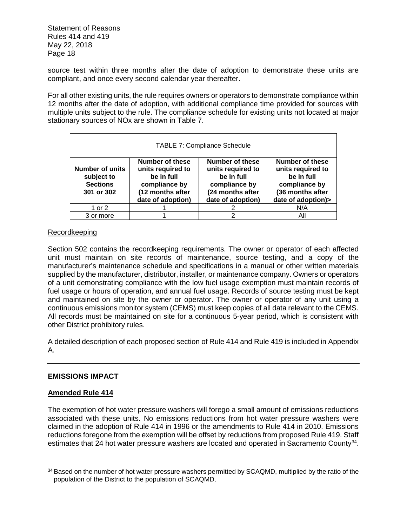source test within three months after the date of adoption to demonstrate these units are compliant, and once every second calendar year thereafter.

For all other existing units, the rule requires owners or operators to demonstrate compliance within 12 months after the date of adoption, with additional compliance time provided for sources with multiple units subject to the rule. The compliance schedule for existing units not located at major stationary sources of NOx are shown in Table 7.

| <b>TABLE 7: Compliance Schedule</b>                                                                                                                                                                                                                                                                                                                                                                                           |  |  |     |  |
|-------------------------------------------------------------------------------------------------------------------------------------------------------------------------------------------------------------------------------------------------------------------------------------------------------------------------------------------------------------------------------------------------------------------------------|--|--|-----|--|
| Number of these<br><b>Number of these</b><br>Number of these<br>units required to<br>units required to<br><b>Number of units</b><br>units required to<br>be in full<br>be in full<br>be in full<br>subject to<br><b>Sections</b><br>compliance by<br>compliance by<br>compliance by<br>(12 months after<br>(24 months after<br>(36 months after<br>301 or 302<br>date of adoption)><br>date of adoption)<br>date of adoption) |  |  |     |  |
| 1 or 2                                                                                                                                                                                                                                                                                                                                                                                                                        |  |  | N/A |  |
| 3 or more                                                                                                                                                                                                                                                                                                                                                                                                                     |  |  | Αll |  |

# Recordkeeping

Section 502 contains the recordkeeping requirements. The owner or operator of each affected unit must maintain on site records of maintenance, source testing, and a copy of the manufacturer's maintenance schedule and specifications in a manual or other written materials supplied by the manufacturer, distributor, installer, or maintenance company. Owners or operators of a unit demonstrating compliance with the low fuel usage exemption must maintain records of fuel usage or hours of operation, and annual fuel usage. Records of source testing must be kept and maintained on site by the owner or operator. The owner or operator of any unit using a continuous emissions monitor system (CEMS) must keep copies of all data relevant to the CEMS. All records must be maintained on site for a continuous 5-year period, which is consistent with other District prohibitory rules.

A detailed description of each proposed section of Rule 414 and Rule 419 is included in Appendix A.

# **EMISSIONS IMPACT**

#### **Amended Rule 414**

The exemption of hot water pressure washers will forego a small amount of emissions reductions associated with these units. No emissions reductions from hot water pressure washers were claimed in the adoption of Rule 414 in 1996 or the amendments to Rule 414 in 2010. Emissions reductions foregone from the exemption will be offset by reductions from proposed Rule 419. Staff estimates that 24 hot water pressure washers are located and operated in Sacramento County<sup>34</sup>.

<sup>&</sup>lt;sup>34</sup> Based on the number of hot water pressure washers permitted by SCAQMD, multiplied by the ratio of the population of the District to the population of SCAQMD.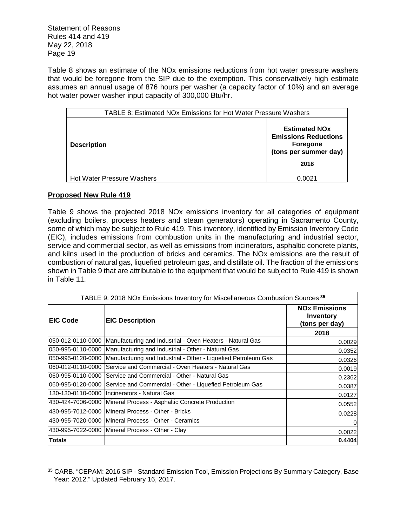Table 8 shows an estimate of the NOx emissions reductions from hot water pressure washers that would be foregone from the SIP due to the exemption. This conservatively high estimate assumes an annual usage of 876 hours per washer (a capacity factor of 10%) and an average hot water power washer input capacity of 300,000 Btu/hr.

| <b>TABLE 8: Estimated NOx Emissions for Hot Water Pressure Washers</b> |                                                                                          |
|------------------------------------------------------------------------|------------------------------------------------------------------------------------------|
| <b>Description</b>                                                     | <b>Estimated NOx</b><br><b>Emissions Reductions</b><br>Foregone<br>(tons per summer day) |
|                                                                        | 2018                                                                                     |
| <b>Hot Water Pressure Washers</b>                                      | 0.0021                                                                                   |

# **Proposed New Rule 419**

Table 9 shows the projected 2018 NOx emissions inventory for all categories of equipment (excluding boilers, process heaters and steam generators) operating in Sacramento County, some of which may be subject to Rule 419. This inventory, identified by Emission Inventory Code (EIC), includes emissions from combustion units in the manufacturing and industrial sector, service and commercial sector, as well as emissions from incinerators, asphaltic concrete plants, and kilns used in the production of bricks and ceramics. The NOx emissions are the result of combustion of natural gas, liquefied petroleum gas, and distillate oil. The fraction of the emissions shown in Table 9 that are attributable to the equipment that would be subject to Rule 419 is shown in Table 11.

| TABLE 9: 2018 NOx Emissions Inventory for Miscellaneous Combustion Sources <sup>35</sup> |                                                                                  |                                                     |
|------------------------------------------------------------------------------------------|----------------------------------------------------------------------------------|-----------------------------------------------------|
| <b>IEIC Code</b>                                                                         | <b>EIC Description</b>                                                           | <b>NOx Emissions</b><br>Inventory<br>(tons per day) |
|                                                                                          |                                                                                  | 2018                                                |
| l050-012-0110-0000                                                                       | Manufacturing and Industrial - Oven Heaters - Natural Gas                        | 0.0029                                              |
| l050-995-0110-0000                                                                       | Manufacturing and Industrial - Other - Natural Gas                               | 0.0352                                              |
|                                                                                          | 050-995-0120-0000 Manufacturing and Industrial - Other - Liquefied Petroleum Gas | 0.0326                                              |
|                                                                                          | l060-012-0110-0000 Service and Commercial - Oven Heaters - Natural Gas           | 0.0019                                              |
|                                                                                          | 060-995-0110-0000 Service and Commercial - Other - Natural Gas                   | 0.2362                                              |
|                                                                                          | 060-995-0120-0000 Service and Commercial - Other - Liquefied Petroleum Gas       | 0.0387                                              |
|                                                                                          | 130-130-0110-0000 Incinerators - Natural Gas                                     | 0.0127                                              |
|                                                                                          | 430-424-7006-0000 Mineral Process - Asphaltic Concrete Production                | 0.0552                                              |
|                                                                                          | l430-995-7012-0000  Mineral Process - Other - Bricks                             | 0.0228                                              |
|                                                                                          | 430-995-7020-0000 Mineral Process - Other - Ceramics                             | $\overline{0}$                                      |
|                                                                                          | 430-995-7022-0000 Mineral Process - Other - Clay                                 | 0.0022                                              |
| <b>Totals</b>                                                                            |                                                                                  | 0.4404                                              |

<sup>35</sup> CARB. "CEPAM: 2016 SIP - Standard Emission Tool, Emission Projections By Summary Category, Base Year: 2012." Updated February 16, 2017.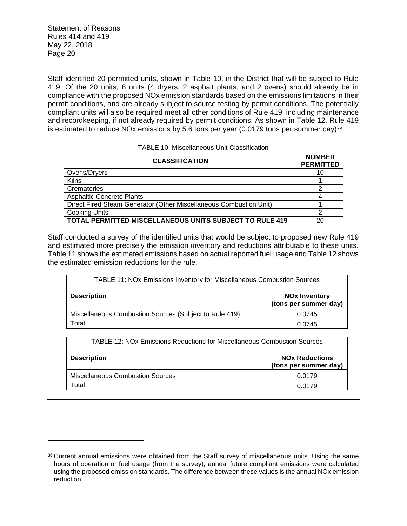Staff identified 20 permitted units, shown in Table 10, in the District that will be subject to Rule 419. Of the 20 units, 8 units (4 dryers, 2 asphalt plants, and 2 ovens) should already be in compliance with the proposed NOx emission standards based on the emissions limitations in their permit conditions, and are already subject to source testing by permit conditions. The potentially compliant units will also be required meet all other conditions of Rule 419, including maintenance and recordkeeping, if not already required by permit conditions. As shown in Table 12, Rule 419 is estimated to reduce NOx emissions by 5.6 tons per year (0.0179 tons per summer day) $^{36}$ .

| TABLE 10: Miscellaneous Unit Classification                        |                                   |
|--------------------------------------------------------------------|-----------------------------------|
| <b>CLASSIFICATION</b>                                              | <b>NUMBER</b><br><b>PERMITTED</b> |
| Ovens/Dryers                                                       | 10                                |
| <b>Kilns</b>                                                       |                                   |
| Crematories                                                        | 2                                 |
| <b>Asphaltic Concrete Plants</b>                                   | 4                                 |
| Direct Fired Steam Generator (Other Miscellaneous Combustion Unit) |                                   |
| <b>Cooking Units</b>                                               | 2                                 |
| <b>TOTAL PERMITTED MISCELLANEOUS UNITS SUBJECT TO RULE 419</b>     | 20                                |

Staff conducted a survey of the identified units that would be subject to proposed new Rule 419 and estimated more precisely the emission inventory and reductions attributable to these units. Table 11 shows the estimated emissions based on actual reported fuel usage and Table 12 shows the estimated emission reductions for the rule.

| <b>TABLE 11: NOx Emissions Inventory for Miscellaneous Combustion Sources</b> |                                               |  |
|-------------------------------------------------------------------------------|-----------------------------------------------|--|
| <b>Description</b>                                                            | <b>NOx Inventory</b><br>(tons per summer day) |  |
| Miscellaneous Combustion Sources (Subject to Rule 419)                        | 0.0745                                        |  |
| Total                                                                         | 0.0745                                        |  |

| TABLE 12: NOx Emissions Reductions for Miscellaneous Combustion Sources |                                                |
|-------------------------------------------------------------------------|------------------------------------------------|
| <b>Description</b>                                                      | <b>NOx Reductions</b><br>(tons per summer day) |
| <b>Miscellaneous Combustion Sources</b>                                 | 0.0179                                         |
| Total                                                                   | 0.0179                                         |

<sup>36</sup> Current annual emissions were obtained from the Staff survey of miscellaneous units. Using the same hours of operation or fuel usage (from the survey), annual future compliant emissions were calculated using the proposed emission standards. The difference between these values is the annual NOx emission reduction.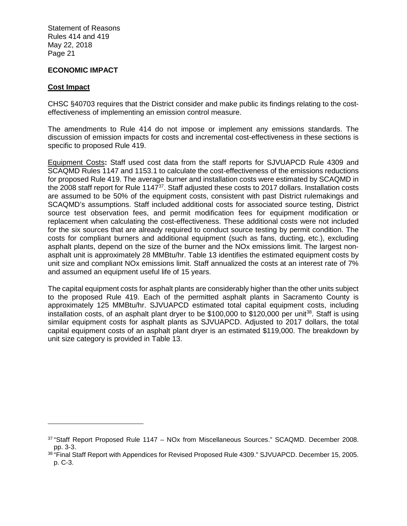# **ECONOMIC IMPACT**

#### **Cost Impact**

CHSC §40703 requires that the District consider and make public its findings relating to the costeffectiveness of implementing an emission control measure.

The amendments to Rule 414 do not impose or implement any emissions standards. The discussion of emission impacts for costs and incremental cost-effectiveness in these sections is specific to proposed Rule 419.

Equipment Costs**:** Staff used cost data from the staff reports for SJVUAPCD Rule 4309 and SCAQMD Rules 1147 and 1153.1 to calculate the cost-effectiveness of the emissions reductions for proposed Rule 419. The average burner and installation costs were estimated by SCAQMD in the 2008 staff report for Rule 1147<sup>37</sup>. Staff adjusted these costs to 2017 dollars. Installation costs are assumed to be 50% of the equipment costs, consistent with past District rulemakings and SCAQMD's assumptions. Staff included additional costs for associated source testing, District source test observation fees, and permit modification fees for equipment modification or replacement when calculating the cost-effectiveness. These additional costs were not included for the six sources that are already required to conduct source testing by permit condition. The costs for compliant burners and additional equipment (such as fans, ducting, etc.), excluding asphalt plants, depend on the size of the burner and the NOx emissions limit. The largest nonasphalt unit is approximately 28 MMBtu/hr. Table 13 identifies the estimated equipment costs by unit size and compliant NOx emissions limit. Staff annualized the costs at an interest rate of 7% and assumed an equipment useful life of 15 years.

The capital equipment costs for asphalt plants are considerably higher than the other units subject to the proposed Rule 419. Each of the permitted asphalt plants in Sacramento County is approximately 125 MMBtu/hr. SJVUAPCD estimated total capital equipment costs, including installation costs, of an asphalt plant dryer to be  $$100,000$  to  $$120,000$  per unit<sup>38</sup>. Staff is using similar equipment costs for asphalt plants as SJVUAPCD. Adjusted to 2017 dollars, the total capital equipment costs of an asphalt plant dryer is an estimated \$119,000. The breakdown by unit size category is provided in Table 13.

 $37$  "Staff Report Proposed Rule 1147 – NOx from Miscellaneous Sources." SCAQMD. December 2008. pp. 3-3.

<sup>&</sup>lt;sup>38</sup> "Final Staff Report with Appendices for Revised Proposed Rule 4309." SJVUAPCD. December 15, 2005. p. C-3.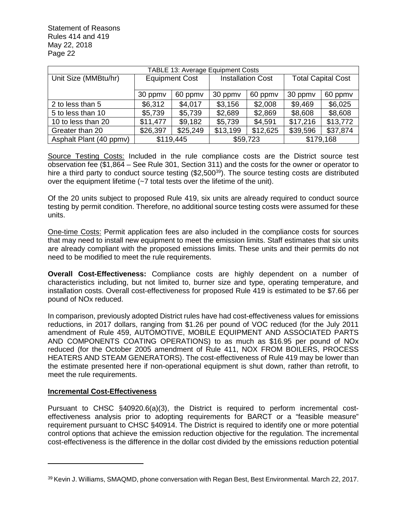| <b>TABLE 13: Average Equipment Costs</b>  |                       |         |                          |          |                           |          |
|-------------------------------------------|-----------------------|---------|--------------------------|----------|---------------------------|----------|
| Unit Size (MMBtu/hr)                      | <b>Equipment Cost</b> |         | <b>Installation Cost</b> |          | <b>Total Capital Cost</b> |          |
|                                           | 30 ppmv               | 60 ppmv |                          | 60 ppmv  | 30 ppmv                   | 60 ppmv  |
| 2 to less than 5                          | \$6,312               | \$4,017 | \$3,156                  | \$2,008  | \$9,469                   | \$6,025  |
| 5 to less than 10                         | \$5,739<br>\$5,739    |         | \$2,689                  | \$2,869  | \$8,608                   | \$8,608  |
| \$11,477<br>\$9,182<br>10 to less than 20 |                       | \$5,739 | \$4,591                  | \$17,216 | \$13,772                  |          |
| Greater than 20                           | \$26,397<br>\$25,249  |         | \$13,199                 | \$12,625 | \$39,596                  | \$37,874 |
| Asphalt Plant (40 ppmv)                   | \$119,445             |         | \$59,723                 |          | \$179,168                 |          |

Source Testing Costs: Included in the rule compliance costs are the District source test observation fee (\$1,864 – See Rule 301, Section 311) and the costs for the owner or operator to hire a third party to conduct source testing (\$2,500<sup>39</sup>). The source testing costs are distributed over the equipment lifetime (~7 total tests over the lifetime of the unit).

Of the 20 units subject to proposed Rule 419, six units are already required to conduct source testing by permit condition. Therefore, no additional source testing costs were assumed for these units.

One-time Costs: Permit application fees are also included in the compliance costs for sources that may need to install new equipment to meet the emission limits. Staff estimates that six units are already compliant with the proposed emissions limits. These units and their permits do not need to be modified to meet the rule requirements.

**Overall Cost-Effectiveness:** Compliance costs are highly dependent on a number of characteristics including, but not limited to, burner size and type, operating temperature, and installation costs. Overall cost-effectiveness for proposed Rule 419 is estimated to be \$7.66 per pound of NOx reduced.

In comparison, previously adopted District rules have had cost-effectiveness values for emissions reductions, in 2017 dollars, ranging from \$1.26 per pound of VOC reduced (for the July 2011 amendment of Rule 459, AUTOMOTIVE, MOBILE EQUIPMENT AND ASSOCIATED PARTS AND COMPONENTS COATING OPERATIONS) to as much as \$16.95 per pound of NOx reduced (for the October 2005 amendment of Rule 411, NOX FROM BOILERS, PROCESS HEATERS AND STEAM GENERATORS). The cost-effectiveness of Rule 419 may be lower than the estimate presented here if non-operational equipment is shut down, rather than retrofit, to meet the rule requirements.

# **Incremental Cost-Effectiveness**

Pursuant to CHSC §40920.6(a)(3), the District is required to perform incremental costeffectiveness analysis prior to adopting requirements for BARCT or a "feasible measure" requirement pursuant to CHSC §40914. The District is required to identify one or more potential control options that achieve the emission reduction objective for the regulation. The incremental cost-effectiveness is the difference in the dollar cost divided by the emissions reduction potential

<sup>39</sup> Kevin J. Williams, SMAQMD, phone conversation with Regan Best, Best Environmental. March 22, 2017.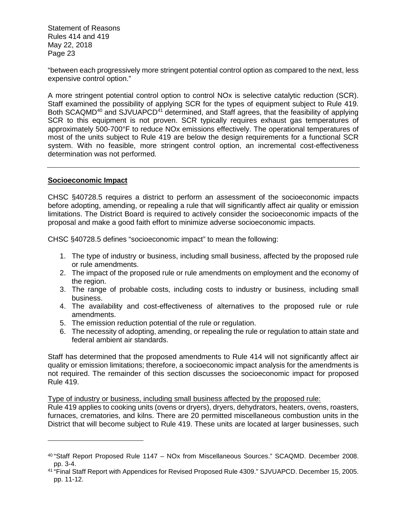"between each progressively more stringent potential control option as compared to the next, less expensive control option."

A more stringent potential control option to control NOx is selective catalytic reduction (SCR). Staff examined the possibility of applying SCR for the types of equipment subject to Rule 419. Both SCAQMD<sup>40</sup> and SJVUAPCD<sup>41</sup> determined, and Staff agrees, that the feasibility of applying SCR to this equipment is not proven. SCR typically requires exhaust gas temperatures of approximately 500-700°F to reduce NOx emissions effectively. The operational temperatures of most of the units subject to Rule 419 are below the design requirements for a functional SCR system. With no feasible, more stringent control option, an incremental cost-effectiveness determination was not performed.

# **Socioeconomic Impact**

CHSC §40728.5 requires a district to perform an assessment of the socioeconomic impacts before adopting, amending, or repealing a rule that will significantly affect air quality or emission limitations. The District Board is required to actively consider the socioeconomic impacts of the proposal and make a good faith effort to minimize adverse socioeconomic impacts.

CHSC §40728.5 defines "socioeconomic impact" to mean the following:

- 1. The type of industry or business, including small business, affected by the proposed rule or rule amendments.
- 2. The impact of the proposed rule or rule amendments on employment and the economy of the region.
- 3. The range of probable costs, including costs to industry or business, including small business.
- 4. The availability and cost-effectiveness of alternatives to the proposed rule or rule amendments.
- 5. The emission reduction potential of the rule or regulation.
- 6. The necessity of adopting, amending, or repealing the rule or regulation to attain state and federal ambient air standards.

Staff has determined that the proposed amendments to Rule 414 will not significantly affect air quality or emission limitations; therefore, a socioeconomic impact analysis for the amendments is not required. The remainder of this section discusses the socioeconomic impact for proposed Rule 419.

# Type of industry or business, including small business affected by the proposed rule:

Rule 419 applies to cooking units (ovens or dryers), dryers, dehydrators, heaters, ovens, roasters, furnaces, crematories, and kilns. There are 20 permitted miscellaneous combustion units in the District that will become subject to Rule 419. These units are located at larger businesses, such

<sup>40</sup> "Staff Report Proposed Rule 1147 – NOx from Miscellaneous Sources." SCAQMD. December 2008. pp. 3-4.

<sup>41</sup> "Final Staff Report with Appendices for Revised Proposed Rule 4309." SJVUAPCD. December 15, 2005. pp. 11-12.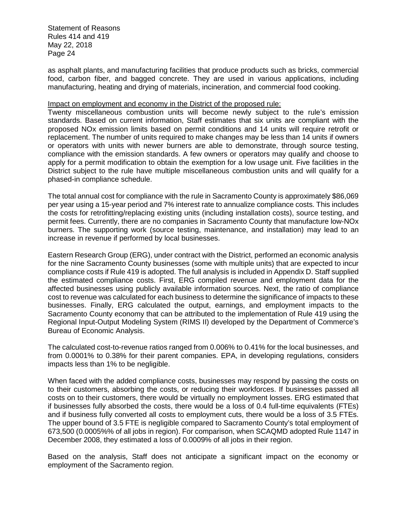as asphalt plants, and manufacturing facilities that produce products such as bricks, commercial food, carbon fiber, and bagged concrete. They are used in various applications, including manufacturing, heating and drying of materials, incineration, and commercial food cooking.

#### Impact on employment and economy in the District of the proposed rule:

Twenty miscellaneous combustion units will become newly subject to the rule's emission standards. Based on current information, Staff estimates that six units are compliant with the proposed NOx emission limits based on permit conditions and 14 units will require retrofit or replacement. The number of units required to make changes may be less than 14 units if owners or operators with units with newer burners are able to demonstrate, through source testing, compliance with the emission standards. A few owners or operators may qualify and choose to apply for a permit modification to obtain the exemption for a low usage unit. Five facilities in the District subject to the rule have multiple miscellaneous combustion units and will qualify for a phased-in compliance schedule.

The total annual cost for compliance with the rule in Sacramento County is approximately \$86,069 per year using a 15-year period and 7% interest rate to annualize compliance costs. This includes the costs for retrofitting/replacing existing units (including installation costs), source testing, and permit fees. Currently, there are no companies in Sacramento County that manufacture low-NOx burners. The supporting work (source testing, maintenance, and installation) may lead to an increase in revenue if performed by local businesses.

Eastern Research Group (ERG), under contract with the District, performed an economic analysis for the nine Sacramento County businesses (some with multiple units) that are expected to incur compliance costs if Rule 419 is adopted. The full analysis is included in Appendix D. Staff supplied the estimated compliance costs. First, ERG compiled revenue and employment data for the affected businesses using publicly available information sources. Next, the ratio of compliance cost to revenue was calculated for each business to determine the significance of impacts to these businesses. Finally, ERG calculated the output, earnings, and employment impacts to the Sacramento County economy that can be attributed to the implementation of Rule 419 using the Regional Input-Output Modeling System (RIMS II) developed by the Department of Commerce's Bureau of Economic Analysis.

The calculated cost-to-revenue ratios ranged from 0.006% to 0.41% for the local businesses, and from 0.0001% to 0.38% for their parent companies. EPA, in developing regulations, considers impacts less than 1% to be negligible.

When faced with the added compliance costs, businesses may respond by passing the costs on to their customers, absorbing the costs, or reducing their workforces. If businesses passed all costs on to their customers, there would be virtually no employment losses. ERG estimated that if businesses fully absorbed the costs, there would be a loss of 0.4 full-time equivalents (FTEs) and if business fully converted all costs to employment cuts, there would be a loss of 3.5 FTEs. The upper bound of 3.5 FTE is negligible compared to Sacramento County's total employment of 673,500 (0.0005%% of all jobs in region). For comparison, when SCAQMD adopted Rule 1147 in December 2008, they estimated a loss of 0.0009% of all jobs in their region.

Based on the analysis, Staff does not anticipate a significant impact on the economy or employment of the Sacramento region.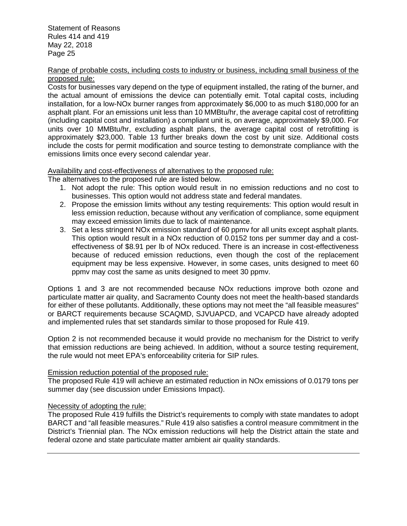#### Range of probable costs, including costs to industry or business, including small business of the proposed rule:

Costs for businesses vary depend on the type of equipment installed, the rating of the burner, and the actual amount of emissions the device can potentially emit. Total capital costs, including installation, for a low-NOx burner ranges from approximately \$6,000 to as much \$180,000 for an asphalt plant. For an emissions unit less than 10 MMBtu/hr, the average capital cost of retrofitting (including capital cost and installation) a compliant unit is, on average, approximately \$9,000. For units over 10 MMBtu/hr, excluding asphalt plans, the average capital cost of retrofitting is approximately \$23,000. Table 13 further breaks down the cost by unit size. Additional costs include the costs for permit modification and source testing to demonstrate compliance with the emissions limits once every second calendar year.

# Availability and cost-effectiveness of alternatives to the proposed rule:

The alternatives to the proposed rule are listed below.

- 1. Not adopt the rule: This option would result in no emission reductions and no cost to businesses. This option would not address state and federal mandates.
- 2. Propose the emission limits without any testing requirements: This option would result in less emission reduction, because without any verification of compliance, some equipment may exceed emission limits due to lack of maintenance.
- 3. Set a less stringent NOx emission standard of 60 ppmv for all units except asphalt plants. This option would result in a NOx reduction of 0.0152 tons per summer day and a costeffectiveness of \$8.91 per lb of NOx reduced. There is an increase in cost-effectiveness because of reduced emission reductions, even though the cost of the replacement equipment may be less expensive. However, in some cases, units designed to meet 60 ppmv may cost the same as units designed to meet 30 ppmv.

Options 1 and 3 are not recommended because NOx reductions improve both ozone and particulate matter air quality, and Sacramento County does not meet the health-based standards for either of these pollutants. Additionally, these options may not meet the "all feasible measures" or BARCT requirements because SCAQMD, SJVUAPCD, and VCAPCD have already adopted and implemented rules that set standards similar to those proposed for Rule 419.

Option 2 is not recommended because it would provide no mechanism for the District to verify that emission reductions are being achieved. In addition, without a source testing requirement, the rule would not meet EPA's enforceability criteria for SIP rules.

#### Emission reduction potential of the proposed rule:

The proposed Rule 419 will achieve an estimated reduction in NOx emissions of 0.0179 tons per summer day (see discussion under Emissions Impact).

# Necessity of adopting the rule:

The proposed Rule 419 fulfills the District's requirements to comply with state mandates to adopt BARCT and "all feasible measures." Rule 419 also satisfies a control measure commitment in the District's Triennial plan. The NOx emission reductions will help the District attain the state and federal ozone and state particulate matter ambient air quality standards.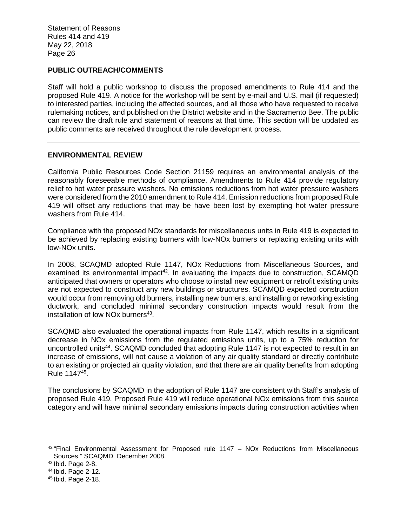# **PUBLIC OUTREACH/COMMENTS**

Staff will hold a public workshop to discuss the proposed amendments to Rule 414 and the proposed Rule 419. A notice for the workshop will be sent by e-mail and U.S. mail (if requested) to interested parties, including the affected sources, and all those who have requested to receive rulemaking notices, and published on the District website and in the Sacramento Bee. The public can review the draft rule and statement of reasons at that time. This section will be updated as public comments are received throughout the rule development process.

#### **ENVIRONMENTAL REVIEW**

California Public Resources Code Section 21159 requires an environmental analysis of the reasonably foreseeable methods of compliance. Amendments to Rule 414 provide regulatory relief to hot water pressure washers. No emissions reductions from hot water pressure washers were considered from the 2010 amendment to Rule 414. Emission reductions from proposed Rule 419 will offset any reductions that may be have been lost by exempting hot water pressure washers from Rule 414.

Compliance with the proposed NOx standards for miscellaneous units in Rule 419 is expected to be achieved by replacing existing burners with low-NOx burners or replacing existing units with low-NOx units.

In 2008, SCAQMD adopted Rule 1147, NOx Reductions from Miscellaneous Sources, and examined its environmental impact<sup>42</sup>. In evaluating the impacts due to construction, SCAMQD anticipated that owners or operators who choose to install new equipment or retrofit existing units are not expected to construct any new buildings or structures. SCAMQD expected construction would occur from removing old burners, installing new burners, and installing or reworking existing ductwork, and concluded minimal secondary construction impacts would result from the installation of low NOx burners<sup>43</sup>.

SCAQMD also evaluated the operational impacts from Rule 1147, which results in a significant decrease in NOx emissions from the regulated emissions units, up to a 75% reduction for uncontrolled units<sup>44</sup>. SCAQMD concluded that adopting Rule 1147 is not expected to result in an increase of emissions, will not cause a violation of any air quality standard or directly contribute to an existing or projected air quality violation, and that there are air quality benefits from adopting Rule 1147<sup>45</sup> .

The conclusions by SCAQMD in the adoption of Rule 1147 are consistent with Staff's analysis of proposed Rule 419. Proposed Rule 419 will reduce operational NOx emissions from this source category and will have minimal secondary emissions impacts during construction activities when

 $42$  "Final Environmental Assessment for Proposed rule 1147 – NOx Reductions from Miscellaneous Sources." SCAQMD. December 2008.

<sup>43</sup> Ibid. Page 2-8.

<sup>44</sup> Ibid. Page 2-12.

<sup>45</sup> Ibid. Page 2-18.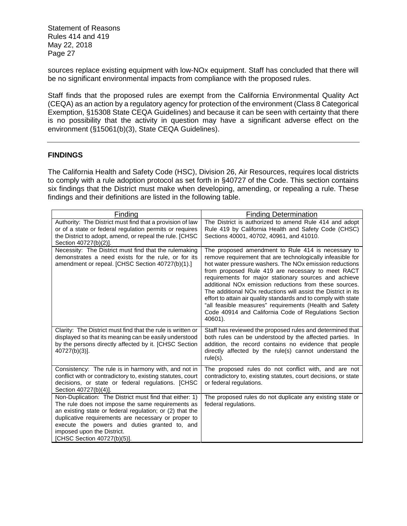sources replace existing equipment with low-NOx equipment. Staff has concluded that there will be no significant environmental impacts from compliance with the proposed rules.

Staff finds that the proposed rules are exempt from the California Environmental Quality Act (CEQA) as an action by a regulatory agency for protection of the environment (Class 8 Categorical Exemption, §15308 State CEQA Guidelines) and because it can be seen with certainty that there is no possibility that the activity in question may have a significant adverse effect on the environment (§15061(b)(3), State CEQA Guidelines).

# **FINDINGS**

The California Health and Safety Code (HSC), Division 26, Air Resources, requires local districts to comply with a rule adoption protocol as set forth in §40727 of the Code. This section contains six findings that the District must make when developing, amending, or repealing a rule. These findings and their definitions are listed in the following table.

| <b>Finding</b>                                                                                                                                                                                                                                                                                                                                | <b>Finding Determination</b>                                                                                                                                                                                                                                                                                                                                                                                                                                                                                                                                                                                                       |
|-----------------------------------------------------------------------------------------------------------------------------------------------------------------------------------------------------------------------------------------------------------------------------------------------------------------------------------------------|------------------------------------------------------------------------------------------------------------------------------------------------------------------------------------------------------------------------------------------------------------------------------------------------------------------------------------------------------------------------------------------------------------------------------------------------------------------------------------------------------------------------------------------------------------------------------------------------------------------------------------|
| Authority: The District must find that a provision of law<br>or of a state or federal regulation permits or requires<br>the District to adopt, amend, or repeal the rule. [CHSC<br>Section 40727(b)(2)].                                                                                                                                      | The District is authorized to amend Rule 414 and adopt<br>Rule 419 by California Health and Safety Code (CHSC)<br>Sections 40001, 40702, 40961, and 41010.                                                                                                                                                                                                                                                                                                                                                                                                                                                                         |
| Necessity: The District must find that the rulemaking<br>demonstrates a need exists for the rule, or for its<br>amendment or repeal. [CHSC Section 40727(b)(1).]                                                                                                                                                                              | The proposed amendment to Rule 414 is necessary to<br>remove requirement that are technologically infeasible for<br>hot water pressure washers. The NOx emission reductions<br>from proposed Rule 419 are necessary to meet RACT<br>requirements for major stationary sources and achieve<br>additional NO <sub>x</sub> emission reductions from these sources.<br>The additional NOx reductions will assist the District in its<br>effort to attain air quality standards and to comply with state<br>"all feasible measures" requirements (Health and Safety<br>Code 40914 and California Code of Regulations Section<br>40601). |
| Clarity: The District must find that the rule is written or<br>displayed so that its meaning can be easily understood<br>by the persons directly affected by it. [CHSC Section<br>$40727(b)(3)$ ].                                                                                                                                            | Staff has reviewed the proposed rules and determined that<br>both rules can be understood by the affected parties. In<br>addition, the record contains no evidence that people<br>directly affected by the rule(s) cannot understand the<br>$rule(s)$ .                                                                                                                                                                                                                                                                                                                                                                            |
| Consistency: The rule is in harmony with, and not in<br>conflict with or contradictory to, existing statutes, court<br>decisions, or state or federal regulations. [CHSC<br>Section 40727(b)(4)].                                                                                                                                             | The proposed rules do not conflict with, and are not<br>contradictory to, existing statutes, court decisions, or state<br>or federal regulations.                                                                                                                                                                                                                                                                                                                                                                                                                                                                                  |
| Non-Duplication: The District must find that either: 1)<br>The rule does not impose the same requirements as<br>an existing state or federal regulation; or (2) that the<br>duplicative requirements are necessary or proper to<br>execute the powers and duties granted to, and<br>imposed upon the District.<br>[CHSC Section 40727(b)(5)]. | The proposed rules do not duplicate any existing state or<br>federal regulations.                                                                                                                                                                                                                                                                                                                                                                                                                                                                                                                                                  |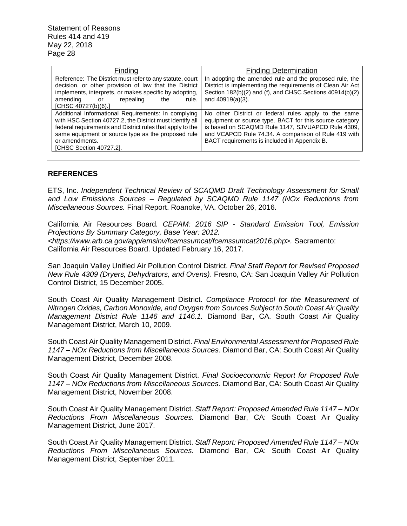| Finding                                                                                                                                                                                                                                                                         | <b>Finding Determination</b>                                                                                                                                                                                                                                                 |
|---------------------------------------------------------------------------------------------------------------------------------------------------------------------------------------------------------------------------------------------------------------------------------|------------------------------------------------------------------------------------------------------------------------------------------------------------------------------------------------------------------------------------------------------------------------------|
| Reference: The District must refer to any statute, court<br>decision, or other provision of law that the District<br>implements, interprets, or makes specific by adopting,<br>amending<br>repealing<br>rule.<br>the<br>or<br>[CHSC 40727(b)(6).]                               | In adopting the amended rule and the proposed rule, the<br>District is implementing the requirements of Clean Air Act<br>Section 182(b)(2) and (f), and CHSC Sections 40914(b)(2)<br>and $40919(a)(3)$ .                                                                     |
| Additional Informational Requirements: In complying<br>with HSC Section 40727.2, the District must identify all<br>federal requirements and District rules that apply to the<br>same equipment or source type as the proposed rule<br>or amendments.<br>[CHSC Section 40727.2]. | No other District or federal rules apply to the same<br>equipment or source type. BACT for this source category<br>is based on SCAQMD Rule 1147, SJVUAPCD Rule 4309,<br>and VCAPCD Rule 74.34. A comparison of Rule 419 with<br>BACT requirements is included in Appendix B. |

#### **REFERENCES**

ETS, Inc. *Independent Technical Review of SCAQMD Draft Technology Assessment for Small and Low Emissions Sources – Regulated by SCAQMD Rule 1147 (NOx Reductions from Miscellaneous Sources.* Final Report. Roanoke, VA. October 26, 2016.

California Air Resources Board*. CEPAM: 2016 SIP - Standard Emission Tool, Emission Projections By Summary Category, Base Year: 2012. <https://www.arb.ca.gov/app/emsinv/fcemssumcat/fcemssumcat2016.php>.* Sacramento: California Air Resources Board. Updated February 16, 2017.

San Joaquin Valley Unified Air Pollution Control District. *Final Staff Report for Revised Proposed New Rule 4309 (Dryers, Dehydrators, and Ovens)*. Fresno, CA: San Joaquin Valley Air Pollution Control District, 15 December 2005.

South Coast Air Quality Management District. *Compliance Protocol for the Measurement of Nitrogen Oxides, Carbon Monoxide, and Oxygen from Sources Subject to South Coast Air Quality Management District Rule 1146 and 1146.1.* Diamond Bar, CA. South Coast Air Quality Management District, March 10, 2009.

South Coast Air Quality Management District. *Final Environmental Assessment for Proposed Rule 1147 – NOx Reductions from Miscellaneous Sources*. Diamond Bar, CA: South Coast Air Quality Management District, December 2008.

South Coast Air Quality Management District. *Final Socioeconomic Report for Proposed Rule 1147 – NOx Reductions from Miscellaneous Sources*. Diamond Bar, CA: South Coast Air Quality Management District, November 2008.

South Coast Air Quality Management District. *Staff Report: Proposed Amended Rule 1147 – NOx Reductions From Miscellaneous Sources.* Diamond Bar, CA: South Coast Air Quality Management District, June 2017.

South Coast Air Quality Management District. *Staff Report: Proposed Amended Rule 1147 – NOx Reductions From Miscellaneous Sources.* Diamond Bar, CA: South Coast Air Quality Management District, September 2011.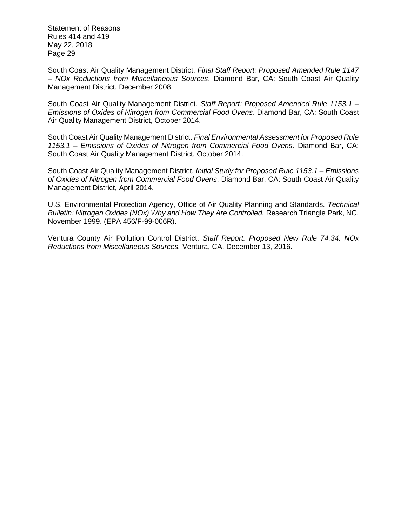South Coast Air Quality Management District. *Final Staff Report: Proposed Amended Rule 1147 – NOx Reductions from Miscellaneous Sources*. Diamond Bar, CA: South Coast Air Quality Management District, December 2008.

South Coast Air Quality Management District. *Staff Report: Proposed Amended Rule 1153.1 – Emissions of Oxides of Nitrogen from Commercial Food Ovens.* Diamond Bar, CA: South Coast Air Quality Management District, October 2014.

South Coast Air Quality Management District. *Final Environmental Assessment for Proposed Rule 1153.1 – Emissions of Oxides of Nitrogen from Commercial Food Ovens*. Diamond Bar, CA: South Coast Air Quality Management District, October 2014.

South Coast Air Quality Management District. *Initial Study for Proposed Rule 1153.1 – Emissions of Oxides of Nitrogen from Commercial Food Ovens*. Diamond Bar, CA: South Coast Air Quality Management District, April 2014.

U.S. Environmental Protection Agency, Office of Air Quality Planning and Standards. *Technical Bulletin: Nitrogen Oxides (NOx) Why and How They Are Controlled.* Research Triangle Park, NC. November 1999. (EPA 456/F-99-006R).

Ventura County Air Pollution Control District. *Staff Report. Proposed New Rule 74.34, NOx Reductions from Miscellaneous Sources.* Ventura, CA. December 13, 2016.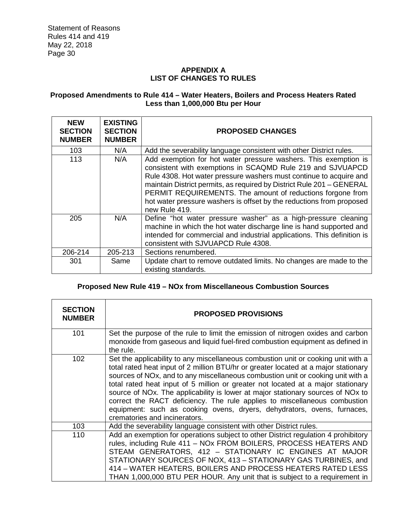# **APPENDIX A LIST OF CHANGES TO RULES**

# **Proposed Amendments to Rule 414 – Water Heaters, Boilers and Process Heaters Rated Less than 1,000,000 Btu per Hour**

| <b>NEW</b><br><b>SECTION</b><br><b>NUMBER</b> | <b>EXISTING</b><br><b>SECTION</b><br><b>NUMBER</b> | <b>PROPOSED CHANGES</b>                                                                                                                                                                                                                                                                                                                                                                                                             |
|-----------------------------------------------|----------------------------------------------------|-------------------------------------------------------------------------------------------------------------------------------------------------------------------------------------------------------------------------------------------------------------------------------------------------------------------------------------------------------------------------------------------------------------------------------------|
| 103                                           | N/A                                                | Add the severability language consistent with other District rules.                                                                                                                                                                                                                                                                                                                                                                 |
| 113                                           | N/A                                                | Add exemption for hot water pressure washers. This exemption is<br>consistent with exemptions in SCAQMD Rule 219 and SJVUAPCD<br>Rule 4308. Hot water pressure washers must continue to acquire and<br>maintain District permits, as required by District Rule 201 - GENERAL<br>PERMIT REQUIREMENTS. The amount of reductions forgone from<br>hot water pressure washers is offset by the reductions from proposed<br>new Rule 419. |
| 205                                           | N/A                                                | Define "hot water pressure washer" as a high-pressure cleaning<br>machine in which the hot water discharge line is hand supported and<br>intended for commercial and industrial applications. This definition is<br>consistent with SJVUAPCD Rule 4308.                                                                                                                                                                             |
| 206-214                                       | 205-213                                            | Sections renumbered.                                                                                                                                                                                                                                                                                                                                                                                                                |
| 301                                           | Same                                               | Update chart to remove outdated limits. No changes are made to the<br>existing standards.                                                                                                                                                                                                                                                                                                                                           |

# **Proposed New Rule 419 – NOx from Miscellaneous Combustion Sources**

| <b>SECTION</b><br><b>NUMBER</b> | <b>PROPOSED PROVISIONS</b>                                                                                                                                                                                                                                                                                                                                                                                                                                                                                                                                                                                                               |
|---------------------------------|------------------------------------------------------------------------------------------------------------------------------------------------------------------------------------------------------------------------------------------------------------------------------------------------------------------------------------------------------------------------------------------------------------------------------------------------------------------------------------------------------------------------------------------------------------------------------------------------------------------------------------------|
| 101                             | Set the purpose of the rule to limit the emission of nitrogen oxides and carbon<br>monoxide from gaseous and liquid fuel-fired combustion equipment as defined in<br>the rule.                                                                                                                                                                                                                                                                                                                                                                                                                                                           |
| 102                             | Set the applicability to any miscellaneous combustion unit or cooking unit with a<br>total rated heat input of 2 million BTU/hr or greater located at a major stationary<br>sources of NO <sub>x</sub> , and to any miscellaneous combustion unit or cooking unit with a<br>total rated heat input of 5 million or greater not located at a major stationary<br>source of NOx. The applicability is lower at major stationary sources of NOx to<br>correct the RACT deficiency. The rule applies to miscellaneous combustion<br>equipment: such as cooking ovens, dryers, dehydrators, ovens, furnaces,<br>crematories and incinerators. |
| 103                             | Add the severability language consistent with other District rules.                                                                                                                                                                                                                                                                                                                                                                                                                                                                                                                                                                      |
| 110                             | Add an exemption for operations subject to other District regulation 4 prohibitory<br>rules, including Rule 411 - NOx FROM BOILERS, PROCESS HEATERS AND<br>STEAM GENERATORS, 412 - STATIONARY IC ENGINES AT MAJOR<br>STATIONARY SOURCES OF NOX, 413 - STATIONARY GAS TURBINES, and<br>414 - WATER HEATERS, BOILERS AND PROCESS HEATERS RATED LESS<br>THAN 1,000,000 BTU PER HOUR. Any unit that is subject to a requirement in                                                                                                                                                                                                           |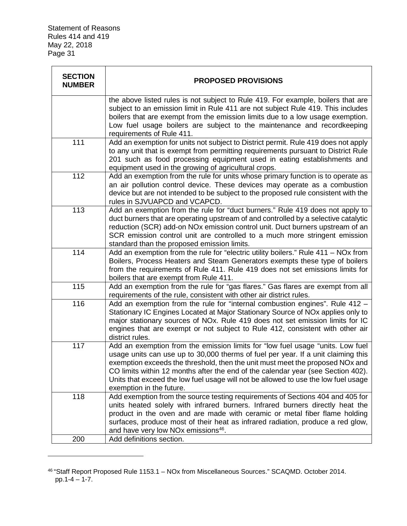| <b>SECTION</b><br><b>NUMBER</b> | <b>PROPOSED PROVISIONS</b>                                                                                                                                                                                                                                                                                                                                                                                                                                 |
|---------------------------------|------------------------------------------------------------------------------------------------------------------------------------------------------------------------------------------------------------------------------------------------------------------------------------------------------------------------------------------------------------------------------------------------------------------------------------------------------------|
|                                 | the above listed rules is not subject to Rule 419. For example, boilers that are<br>subject to an emission limit in Rule 411 are not subject Rule 419. This includes<br>boilers that are exempt from the emission limits due to a low usage exemption.<br>Low fuel usage boilers are subject to the maintenance and recordkeeping<br>requirements of Rule 411.                                                                                             |
| 111                             | Add an exemption for units not subject to District permit. Rule 419 does not apply<br>to any unit that is exempt from permitting requirements pursuant to District Rule<br>201 such as food processing equipment used in eating establishments and<br>equipment used in the growing of agricultural crops.                                                                                                                                                 |
| 112                             | Add an exemption from the rule for units whose primary function is to operate as<br>an air pollution control device. These devices may operate as a combustion<br>device but are not intended to be subject to the proposed rule consistent with the<br>rules in SJVUAPCD and VCAPCD.                                                                                                                                                                      |
| $\overline{113}$                | Add an exemption from the rule for "duct burners." Rule 419 does not apply to<br>duct burners that are operating upstream of and controlled by a selective catalytic<br>reduction (SCR) add-on NOx emission control unit. Duct burners upstream of an<br>SCR emission control unit are controlled to a much more stringent emission<br>standard than the proposed emission limits.                                                                         |
| 114                             | Add an exemption from the rule for "electric utility boilers." Rule 411 - NOx from<br>Boilers, Process Heaters and Steam Generators exempts these type of boilers<br>from the requirements of Rule 411. Rule 419 does not set emissions limits for<br>boilers that are exempt from Rule 411.                                                                                                                                                               |
| 115                             | Add an exemption from the rule for "gas flares." Gas flares are exempt from all<br>requirements of the rule, consistent with other air district rules.                                                                                                                                                                                                                                                                                                     |
| 116                             | Add an exemption from the rule for "internal combustion engines". Rule 412 -<br>Stationary IC Engines Located at Major Stationary Source of NOx applies only to<br>major stationary sources of NOx. Rule 419 does not set emission limits for IC<br>engines that are exempt or not subject to Rule 412, consistent with other air<br>district rules.                                                                                                       |
| 117                             | Add an exemption from the emission limits for "low fuel usage "units. Low fuel<br>usage units can use up to 30,000 therms of fuel per year. If a unit claiming this<br>exemption exceeds the threshold, then the unit must meet the proposed NOx and<br>CO limits within 12 months after the end of the calendar year (see Section 402).<br>Units that exceed the low fuel usage will not be allowed to use the low fuel usage<br>exemption in the future. |
| 118                             | Add exemption from the source testing requirements of Sections 404 and 405 for<br>units heated solely with infrared burners. Infrared burners directly heat the<br>product in the oven and are made with ceramic or metal fiber flame holding<br>surfaces, produce most of their heat as infrared radiation, produce a red glow,<br>and have very low NOx emissions <sup>46</sup> .                                                                        |
| 200                             | Add definitions section.                                                                                                                                                                                                                                                                                                                                                                                                                                   |

<sup>46</sup> "Staff Report Proposed Rule 1153.1 – NOx from Miscellaneous Sources." SCAQMD. October 2014. pp.1-4 – 1-7.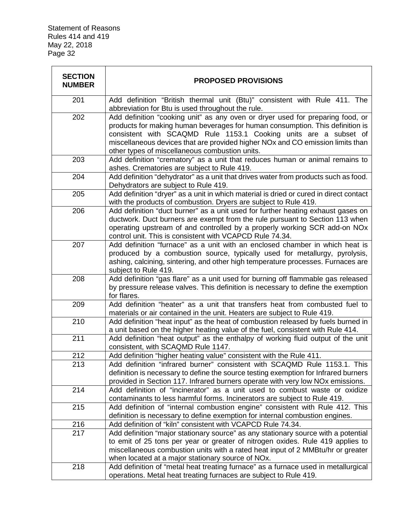| <b>SECTION</b><br><b>NUMBER</b> | <b>PROPOSED PROVISIONS</b>                                                                                                                                                                                                                                                                                                                                              |
|---------------------------------|-------------------------------------------------------------------------------------------------------------------------------------------------------------------------------------------------------------------------------------------------------------------------------------------------------------------------------------------------------------------------|
| 201                             | Add definition "British thermal unit (Btu)" consistent with Rule 411. The<br>abbreviation for Btu is used throughout the rule.                                                                                                                                                                                                                                          |
| 202                             | Add definition "cooking unit" as any oven or dryer used for preparing food, or<br>products for making human beverages for human consumption. This definition is<br>consistent with SCAQMD Rule 1153.1 Cooking units are a subset of<br>miscellaneous devices that are provided higher NOx and CO emission limits than<br>other types of miscellaneous combustion units. |
| 203                             | Add definition "crematory" as a unit that reduces human or animal remains to<br>ashes. Crematories are subject to Rule 419.                                                                                                                                                                                                                                             |
| 204                             | Add definition "dehydrator" as a unit that drives water from products such as food.<br>Dehydrators are subject to Rule 419.                                                                                                                                                                                                                                             |
| 205                             | Add definition "dryer" as a unit in which material is dried or cured in direct contact<br>with the products of combustion. Dryers are subject to Rule 419.                                                                                                                                                                                                              |
| 206                             | Add definition "duct burner" as a unit used for further heating exhaust gases on<br>ductwork. Duct burners are exempt from the rule pursuant to Section 113 when<br>operating upstream of and controlled by a properly working SCR add-on NOx<br>control unit. This is consistent with VCAPCD Rule 74.34.                                                               |
| 207                             | Add definition "furnace" as a unit with an enclosed chamber in which heat is<br>produced by a combustion source, typically used for metallurgy, pyrolysis,<br>ashing, calcining, sintering, and other high temperature processes. Furnaces are<br>subject to Rule 419.                                                                                                  |
| 208                             | Add definition "gas flare" as a unit used for burning off flammable gas released<br>by pressure release valves. This definition is necessary to define the exemption<br>for flares.                                                                                                                                                                                     |
| 209                             | Add definition "heater" as a unit that transfers heat from combusted fuel to<br>materials or air contained in the unit. Heaters are subject to Rule 419.                                                                                                                                                                                                                |
| 210                             | Add definition "heat input" as the heat of combustion released by fuels burned in<br>a unit based on the higher heating value of the fuel, consistent with Rule 414.                                                                                                                                                                                                    |
| 211                             | Add definition "heat output" as the enthalpy of working fluid output of the unit<br>consistent, with SCAQMD Rule 1147.                                                                                                                                                                                                                                                  |
| 212                             | Add definition "higher heating value" consistent with the Rule 411.                                                                                                                                                                                                                                                                                                     |
| 213                             | Add definition "infrared burner" consistent with SCAQMD Rule 1153.1. This<br>definition is necessary to define the source testing exemption for Infrared burners<br>provided in Section 117. Infrared burners operate with very low NOx emissions.                                                                                                                      |
| 214                             | Add definition of "incinerator" as a unit used to combust waste or oxidize<br>contaminants to less harmful forms. Incinerators are subject to Rule 419.                                                                                                                                                                                                                 |
| 215                             | Add definition of "internal combustion engine" consistent with Rule 412. This<br>definition is necessary to define exemption for internal combustion engines.                                                                                                                                                                                                           |
| 216                             | Add definition of "kiln" consistent with VCAPCD Rule 74.34.                                                                                                                                                                                                                                                                                                             |
| 217                             | Add definition "major stationary source" as any stationary source with a potential<br>to emit of 25 tons per year or greater of nitrogen oxides. Rule 419 applies to<br>miscellaneous combustion units with a rated heat input of 2 MMBtu/hr or greater<br>when located at a major stationary source of NOx.                                                            |
| 218                             | Add definition of "metal heat treating furnace" as a furnace used in metallurgical                                                                                                                                                                                                                                                                                      |
|                                 | operations. Metal heat treating furnaces are subject to Rule 419.                                                                                                                                                                                                                                                                                                       |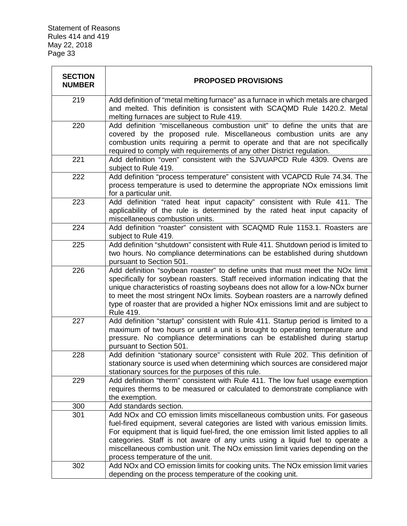| <b>SECTION</b><br><b>NUMBER</b> | <b>PROPOSED PROVISIONS</b>                                                                                                                                                                                                                                                                                                                                                                                                                                                            |
|---------------------------------|---------------------------------------------------------------------------------------------------------------------------------------------------------------------------------------------------------------------------------------------------------------------------------------------------------------------------------------------------------------------------------------------------------------------------------------------------------------------------------------|
| 219                             | Add definition of "metal melting furnace" as a furnace in which metals are charged<br>and melted. This definition is consistent with SCAQMD Rule 1420.2. Metal<br>melting furnaces are subject to Rule 419.                                                                                                                                                                                                                                                                           |
| 220                             | Add definition "miscellaneous combustion unit" to define the units that are<br>covered by the proposed rule. Miscellaneous combustion units are any<br>combustion units requiring a permit to operate and that are not specifically<br>required to comply with requirements of any other District regulation.                                                                                                                                                                         |
| 221                             | Add definition "oven" consistent with the SJVUAPCD Rule 4309. Ovens are<br>subject to Rule 419.                                                                                                                                                                                                                                                                                                                                                                                       |
| 222                             | Add definition "process temperature" consistent with VCAPCD Rule 74.34. The<br>process temperature is used to determine the appropriate NO <sub>x</sub> emissions limit<br>for a particular unit.                                                                                                                                                                                                                                                                                     |
| 223                             | Add definition "rated heat input capacity" consistent with Rule 411. The<br>applicability of the rule is determined by the rated heat input capacity of<br>miscellaneous combustion units.                                                                                                                                                                                                                                                                                            |
| 224                             | Add definition "roaster" consistent with SCAQMD Rule 1153.1. Roasters are<br>subject to Rule 419.                                                                                                                                                                                                                                                                                                                                                                                     |
| 225                             | Add definition "shutdown" consistent with Rule 411. Shutdown period is limited to<br>two hours. No compliance determinations can be established during shutdown<br>pursuant to Section 501.                                                                                                                                                                                                                                                                                           |
| 226                             | Add definition "soybean roaster" to define units that must meet the NOx limit<br>specifically for soybean roasters. Staff received information indicating that the<br>unique characteristics of roasting soybeans does not allow for a low-NOx burner<br>to meet the most stringent NOx limits. Soybean roasters are a narrowly defined<br>type of roaster that are provided a higher NO <sub>x</sub> emissions limit and are subject to<br>Rule 419.                                 |
| 227                             | Add definition "startup" consistent with Rule 411. Startup period is limited to a<br>maximum of two hours or until a unit is brought to operating temperature and<br>pressure. No compliance determinations can be established during startup<br>pursuant to Section 501.                                                                                                                                                                                                             |
| 228                             | Add definition "stationary source" consistent with Rule 202. This definition of<br>stationary source is used when determining which sources are considered major<br>stationary sources for the purposes of this rule.                                                                                                                                                                                                                                                                 |
| 229                             | Add definition "therm" consistent with Rule 411. The low fuel usage exemption<br>requires therms to be measured or calculated to demonstrate compliance with<br>the exemption.                                                                                                                                                                                                                                                                                                        |
| 300                             | Add standards section.                                                                                                                                                                                                                                                                                                                                                                                                                                                                |
| 301                             | Add NO <sub>x</sub> and CO emission limits miscellaneous combustion units. For gaseous<br>fuel-fired equipment, several categories are listed with various emission limits.<br>For equipment that is liquid fuel-fired, the one emission limit listed applies to all<br>categories. Staff is not aware of any units using a liquid fuel to operate a<br>miscellaneous combustion unit. The NO <sub>x</sub> emission limit varies depending on the<br>process temperature of the unit. |
| 302                             | Add NOx and CO emission limits for cooking units. The NOx emission limit varies                                                                                                                                                                                                                                                                                                                                                                                                       |
|                                 | depending on the process temperature of the cooking unit.                                                                                                                                                                                                                                                                                                                                                                                                                             |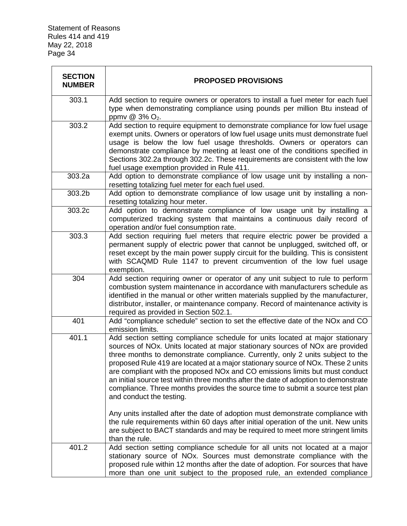| <b>SECTION</b><br><b>NUMBER</b> | <b>PROPOSED PROVISIONS</b>                                                                                                                                                                                                                                                                                                                                                                                                                                                                                                                                                                                                 |
|---------------------------------|----------------------------------------------------------------------------------------------------------------------------------------------------------------------------------------------------------------------------------------------------------------------------------------------------------------------------------------------------------------------------------------------------------------------------------------------------------------------------------------------------------------------------------------------------------------------------------------------------------------------------|
| 303.1                           | Add section to require owners or operators to install a fuel meter for each fuel<br>type when demonstrating compliance using pounds per million Btu instead of<br>ppmv @ 3% O <sub>2</sub> .                                                                                                                                                                                                                                                                                                                                                                                                                               |
| 303.2                           | Add section to require equipment to demonstrate compliance for low fuel usage<br>exempt units. Owners or operators of low fuel usage units must demonstrate fuel<br>usage is below the low fuel usage thresholds. Owners or operators can<br>demonstrate compliance by meeting at least one of the conditions specified in<br>Sections 302.2a through 302.2c. These requirements are consistent with the low<br>fuel usage exemption provided in Rule 411.                                                                                                                                                                 |
| 303.2a                          | Add option to demonstrate compliance of low usage unit by installing a non-<br>resetting totalizing fuel meter for each fuel used.                                                                                                                                                                                                                                                                                                                                                                                                                                                                                         |
| 303.2b                          | Add option to demonstrate compliance of low usage unit by installing a non-<br>resetting totalizing hour meter.                                                                                                                                                                                                                                                                                                                                                                                                                                                                                                            |
| 303.2c                          | Add option to demonstrate compliance of low usage unit by installing a<br>computerized tracking system that maintains a continuous daily record of<br>operation and/or fuel consumption rate.                                                                                                                                                                                                                                                                                                                                                                                                                              |
| 303.3                           | Add section requiring fuel meters that require electric power be provided a<br>permanent supply of electric power that cannot be unplugged, switched off, or<br>reset except by the main power supply circuit for the building. This is consistent<br>with SCAQMD Rule 1147 to prevent circumvention of the low fuel usage<br>exemption.                                                                                                                                                                                                                                                                                   |
| 304                             | Add section requiring owner or operator of any unit subject to rule to perform<br>combustion system maintenance in accordance with manufacturers schedule as<br>identified in the manual or other written materials supplied by the manufacturer,<br>distributor, installer, or maintenance company. Record of maintenance activity is<br>required as provided in Section 502.1.                                                                                                                                                                                                                                           |
| 401                             | Add "compliance schedule" section to set the effective date of the NOx and CO<br>emission limits.                                                                                                                                                                                                                                                                                                                                                                                                                                                                                                                          |
| 401.1                           | Add section setting compliance schedule for units located at major stationary<br>sources of NOx. Units located at major stationary sources of NOx are provided<br>three months to demonstrate compliance. Currently, only 2 units subject to the<br>proposed Rule 419 are located at a major stationary source of NOx. These 2 units<br>are compliant with the proposed NOx and CO emissions limits but must conduct<br>an initial source test within three months after the date of adoption to demonstrate<br>compliance. Three months provides the source time to submit a source test plan<br>and conduct the testing. |
|                                 | Any units installed after the date of adoption must demonstrate compliance with<br>the rule requirements within 60 days after initial operation of the unit. New units<br>are subject to BACT standards and may be required to meet more stringent limits<br>than the rule.                                                                                                                                                                                                                                                                                                                                                |
| 401.2                           | Add section setting compliance schedule for all units not located at a major<br>stationary source of NOx. Sources must demonstrate compliance with the<br>proposed rule within 12 months after the date of adoption. For sources that have<br>more than one unit subject to the proposed rule, an extended compliance                                                                                                                                                                                                                                                                                                      |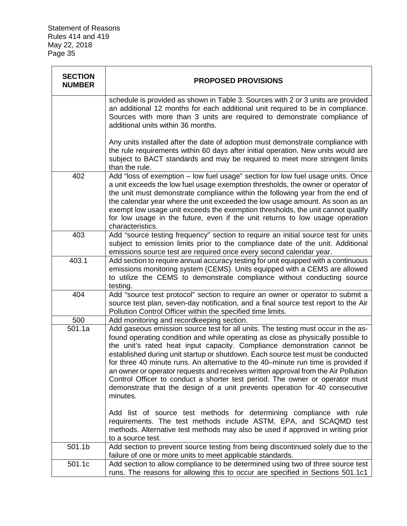| <b>SECTION</b><br><b>NUMBER</b> | <b>PROPOSED PROVISIONS</b>                                                                                                                                                                                                                                                                                                                                                                                                                                                                                                                                                                                                                                                                 |
|---------------------------------|--------------------------------------------------------------------------------------------------------------------------------------------------------------------------------------------------------------------------------------------------------------------------------------------------------------------------------------------------------------------------------------------------------------------------------------------------------------------------------------------------------------------------------------------------------------------------------------------------------------------------------------------------------------------------------------------|
|                                 | schedule is provided as shown in Table 3. Sources with 2 or 3 units are provided<br>an additional 12 months for each additional unit required to be in compliance.<br>Sources with more than 3 units are required to demonstrate compliance of<br>additional units within 36 months.                                                                                                                                                                                                                                                                                                                                                                                                       |
|                                 | Any units installed after the date of adoption must demonstrate compliance with<br>the rule requirements within 60 days after initial operation. New units would are<br>subject to BACT standards and may be required to meet more stringent limits<br>than the rule.                                                                                                                                                                                                                                                                                                                                                                                                                      |
| 402                             | Add "loss of exemption - low fuel usage" section for low fuel usage units. Once<br>a unit exceeds the low fuel usage exemption thresholds, the owner or operator of<br>the unit must demonstrate compliance within the following year from the end of<br>the calendar year where the unit exceeded the low usage amount. As soon as an<br>exempt low usage unit exceeds the exemption thresholds, the unit cannot qualify<br>for low usage in the future, even if the unit returns to low usage operation<br>characteristics.                                                                                                                                                              |
| 403                             | Add "source testing frequency" section to require an initial source test for units<br>subject to emission limits prior to the compliance date of the unit. Additional<br>emissions source test are required once every second calendar year.                                                                                                                                                                                                                                                                                                                                                                                                                                               |
| 403.1                           | Add section to require annual accuracy testing for unit equipped with a continuous<br>emissions monitoring system (CEMS). Units equipped with a CEMS are allowed<br>to utilize the CEMS to demonstrate compliance without conducting source<br>testing.                                                                                                                                                                                                                                                                                                                                                                                                                                    |
| 404                             | Add "source test protocol" section to require an owner or operator to submit a<br>source test plan, seven-day notification, and a final source test report to the Air<br>Pollution Control Officer within the specified time limits.                                                                                                                                                                                                                                                                                                                                                                                                                                                       |
| 500                             | Add monitoring and recordkeeping section.                                                                                                                                                                                                                                                                                                                                                                                                                                                                                                                                                                                                                                                  |
| 501.1a                          | Add gaseous emission source test for all units. The testing must occur in the as-<br>found operating condition and while operating as close as physically possible to<br>the unit's rated heat input capacity. Compliance demonstration cannot be<br>established during unit startup or shutdown. Each source test must be conducted<br>for three 40 minute runs. An alternative to the 40–minute run time is provided if<br>an owner or operator requests and receives written approval from the Air Pollution<br>Control Officer to conduct a shorter test period. The owner or operator must<br>demonstrate that the design of a unit prevents operation for 40 consecutive<br>minutes. |
|                                 | Add list of source test methods for determining compliance with rule<br>requirements. The test methods include ASTM, EPA, and SCAQMD test<br>methods. Alternative test methods may also be used if approved in writing prior<br>to a source test.                                                                                                                                                                                                                                                                                                                                                                                                                                          |
| 501.1b                          | Add section to prevent source testing from being discontinued solely due to the<br>failure of one or more units to meet applicable standards.                                                                                                                                                                                                                                                                                                                                                                                                                                                                                                                                              |
| 501.1c                          | Add section to allow compliance to be determined using two of three source test<br>runs. The reasons for allowing this to occur are specified in Sections 501.1c1                                                                                                                                                                                                                                                                                                                                                                                                                                                                                                                          |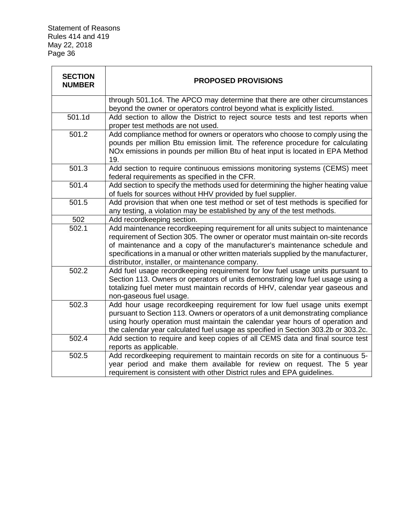| <b>SECTION</b><br><b>NUMBER</b> | <b>PROPOSED PROVISIONS</b>                                                                                                                                                                                                                                                                                                                                                              |
|---------------------------------|-----------------------------------------------------------------------------------------------------------------------------------------------------------------------------------------------------------------------------------------------------------------------------------------------------------------------------------------------------------------------------------------|
|                                 | through 501.1c4. The APCO may determine that there are other circumstances<br>beyond the owner or operators control beyond what is explicitly listed.                                                                                                                                                                                                                                   |
| 501.1d                          | Add section to allow the District to reject source tests and test reports when<br>proper test methods are not used.                                                                                                                                                                                                                                                                     |
| 501.2                           | Add compliance method for owners or operators who choose to comply using the<br>pounds per million Btu emission limit. The reference procedure for calculating<br>NOx emissions in pounds per million Btu of heat input is located in EPA Method<br>19.                                                                                                                                 |
| 501.3                           | Add section to require continuous emissions monitoring systems (CEMS) meet<br>federal requirements as specified in the CFR.                                                                                                                                                                                                                                                             |
| 501.4                           | Add section to specify the methods used for determining the higher heating value<br>of fuels for sources without HHV provided by fuel supplier.                                                                                                                                                                                                                                         |
| 501.5                           | Add provision that when one test method or set of test methods is specified for<br>any testing, a violation may be established by any of the test methods.                                                                                                                                                                                                                              |
| 502                             | Add recordkeeping section.                                                                                                                                                                                                                                                                                                                                                              |
| 502.1                           | Add maintenance recordkeeping requirement for all units subject to maintenance<br>requirement of Section 305. The owner or operator must maintain on-site records<br>of maintenance and a copy of the manufacturer's maintenance schedule and<br>specifications in a manual or other written materials supplied by the manufacturer,<br>distributor, installer, or maintenance company. |
| 502.2                           | Add fuel usage recordkeeping requirement for low fuel usage units pursuant to<br>Section 113. Owners or operators of units demonstrating low fuel usage using a<br>totalizing fuel meter must maintain records of HHV, calendar year gaseous and<br>non-gaseous fuel usage.                                                                                                             |
| 502.3                           | Add hour usage recordkeeping requirement for low fuel usage units exempt<br>pursuant to Section 113. Owners or operators of a unit demonstrating compliance<br>using hourly operation must maintain the calendar year hours of operation and<br>the calendar year calculated fuel usage as specified in Section 303.2b or 303.2c.                                                       |
| 502.4                           | Add section to require and keep copies of all CEMS data and final source test<br>reports as applicable.                                                                                                                                                                                                                                                                                 |
| 502.5                           | Add recordkeeping requirement to maintain records on site for a continuous 5-<br>year period and make them available for review on request. The 5 year<br>requirement is consistent with other District rules and EPA guidelines.                                                                                                                                                       |

 $\overline{\phantom{a}}$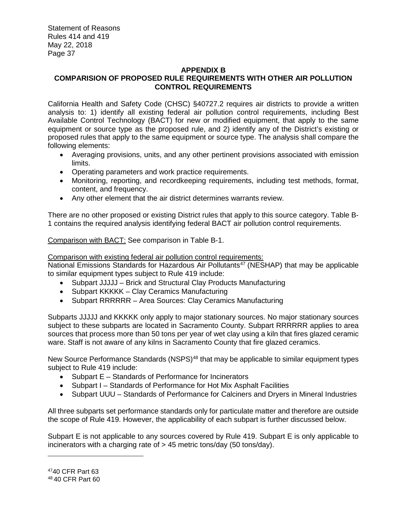# **APPENDIX B COMPARISION OF PROPOSED RULE REQUIREMENTS WITH OTHER AIR POLLUTION CONTROL REQUIREMENTS**

California Health and Safety Code (CHSC) §40727.2 requires air districts to provide a written analysis to: 1) identify all existing federal air pollution control requirements, including Best Available Control Technology (BACT) for new or modified equipment, that apply to the same equipment or source type as the proposed rule, and 2) identify any of the District's existing or proposed rules that apply to the same equipment or source type. The analysis shall compare the following elements:

- Averaging provisions, units, and any other pertinent provisions associated with emission limits.
- Operating parameters and work practice requirements.
- Monitoring, reporting, and recordkeeping requirements, including test methods, format, content, and frequency.
- Any other element that the air district determines warrants review.

There are no other proposed or existing District rules that apply to this source category. Table B-1 contains the required analysis identifying federal BACT air pollution control requirements.

Comparison with BACT: See comparison in Table B-1.

# Comparison with existing federal air pollution control requirements:

National Emissions Standards for Hazardous Air Pollutants<sup>47</sup> (NESHAP) that may be applicable to similar equipment types subject to Rule 419 include:

- Subpart JJJJJ Brick and Structural Clay Products Manufacturing
- Subpart KKKKK Clay Ceramics Manufacturing
- Subpart RRRRRR Area Sources: Clay Ceramics Manufacturing

Subparts JJJJJ and KKKKK only apply to major stationary sources. No major stationary sources subject to these subparts are located in Sacramento County. Subpart RRRRRR applies to area sources that process more than 50 tons per year of wet clay using a kiln that fires glazed ceramic ware. Staff is not aware of any kilns in Sacramento County that fire glazed ceramics.

New Source Performance Standards (NSPS)<sup>48</sup> that may be applicable to similar equipment types subject to Rule 419 include:

- Subpart E Standards of Performance for Incinerators
- Subpart I Standards of Performance for Hot Mix Asphalt Facilities
- Subpart UUU Standards of Performance for Calciners and Dryers in Mineral Industries

All three subparts set performance standards only for particulate matter and therefore are outside the scope of Rule 419. However, the applicability of each subpart is further discussed below.

Subpart E is not applicable to any sources covered by Rule 419. Subpart E is only applicable to incinerators with a charging rate of > 45 metric tons/day (50 tons/day).

<sup>47</sup>40 CFR Part 63

<sup>48</sup> 40 CFR Part 60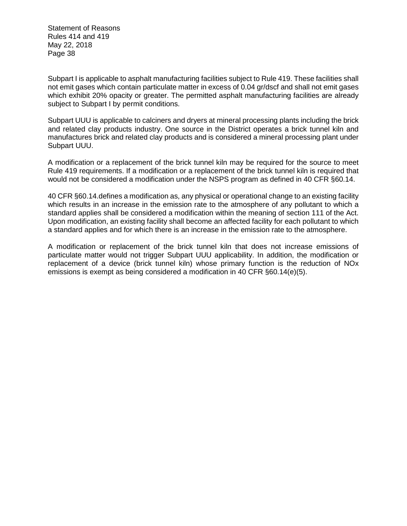Subpart I is applicable to asphalt manufacturing facilities subject to Rule 419. These facilities shall not emit gases which contain particulate matter in excess of 0.04 gr/dscf and shall not emit gases which exhibit 20% opacity or greater. The permitted asphalt manufacturing facilities are already subject to Subpart I by permit conditions.

Subpart UUU is applicable to calciners and dryers at mineral processing plants including the brick and related clay products industry. One source in the District operates a brick tunnel kiln and manufactures brick and related clay products and is considered a mineral processing plant under Subpart UUU.

A modification or a replacement of the brick tunnel kiln may be required for the source to meet Rule 419 requirements. If a modification or a replacement of the brick tunnel kiln is required that would not be considered a modification under the NSPS program as defined in 40 CFR §60.14.

40 CFR §60.14.defines a modification as, any physical or operational change to an existing facility which results in an increase in the emission rate to the atmosphere of any pollutant to which a standard applies shall be considered a modification within the meaning of section 111 of the Act. Upon modification, an existing facility shall become an affected facility for each pollutant to which a standard applies and for which there is an increase in the emission rate to the atmosphere.

A modification or replacement of the brick tunnel kiln that does not increase emissions of particulate matter would not trigger Subpart UUU applicability. In addition, the modification or replacement of a device (brick tunnel kiln) whose primary function is the reduction of NOx emissions is exempt as being considered a modification in 40 CFR §60.14(e)(5).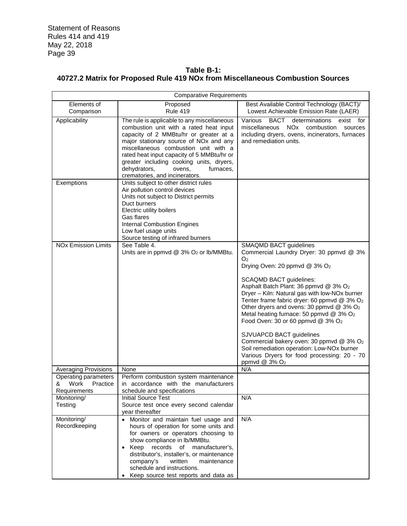# **Table B-1: 40727.2 Matrix for Proposed Rule 419 NOx from Miscellaneous Combustion Sources**

|                                                               | <b>Comparative Requirements</b>                                                                                                                                                                                                                                                                                                                                                                   |                                                                                                                                                                                                                                                                                                                                                                                                                                                                                                                                                                                                                                                  |  |  |  |  |  |  |
|---------------------------------------------------------------|---------------------------------------------------------------------------------------------------------------------------------------------------------------------------------------------------------------------------------------------------------------------------------------------------------------------------------------------------------------------------------------------------|--------------------------------------------------------------------------------------------------------------------------------------------------------------------------------------------------------------------------------------------------------------------------------------------------------------------------------------------------------------------------------------------------------------------------------------------------------------------------------------------------------------------------------------------------------------------------------------------------------------------------------------------------|--|--|--|--|--|--|
| Elements of<br>Comparison                                     | Proposed<br><b>Rule 419</b>                                                                                                                                                                                                                                                                                                                                                                       | Best Available Control Technology (BACT)/<br>Lowest Achievable Emission Rate (LAER)                                                                                                                                                                                                                                                                                                                                                                                                                                                                                                                                                              |  |  |  |  |  |  |
| Applicability                                                 | The rule is applicable to any miscellaneous<br>combustion unit with a rated heat input<br>capacity of 2 MMBtu/hr or greater at a<br>major stationary source of NO <sub>x</sub> and any<br>miscellaneous combustion unit with a<br>rated heat input capacity of 5 MMBtu/hr or<br>greater including cooking units, dryers,<br>dehydrators,<br>ovens,<br>furnaces,<br>crematories, and incinerators. | Various<br>BACT<br>determinations<br>exist for<br>miscellaneous<br>NO <sub>x</sub> combustion<br>sources<br>including dryers, ovens, incinerators, furnaces<br>and remediation units.                                                                                                                                                                                                                                                                                                                                                                                                                                                            |  |  |  |  |  |  |
| Exemptions                                                    | Units subject to other district rules<br>Air pollution control devices<br>Units not subject to District permits<br>Duct burners<br>Electric utility boilers<br>Gas flares<br><b>Internal Combustion Engines</b><br>Low fuel usage units<br>Source testing of infrared burners                                                                                                                     |                                                                                                                                                                                                                                                                                                                                                                                                                                                                                                                                                                                                                                                  |  |  |  |  |  |  |
| <b>NO<sub>x</sub></b> Emission Limits                         | See Table 4.<br>Units are in ppmvd @ 3% O <sub>2</sub> or lb/MMBtu.                                                                                                                                                                                                                                                                                                                               | <b>SMAQMD BACT guidelines</b><br>Commercial Laundry Dryer: 30 ppmvd @ 3%<br>O <sub>2</sub><br>Drying Oven: 20 ppmvd @ 3% O2<br><b>SCAQMD BACT guidelines:</b><br>Asphalt Batch Plant: 36 ppmvd @ 3% O2<br>Dryer - Kiln: Natural gas with low-NOx burner<br>Tenter frame fabric dryer: 60 ppmvd @ 3% O2<br>Other dryers and ovens: 30 ppmvd @ 3% O2<br>Metal heating furnace: 50 ppmvd @ 3% O2<br>Food Oven: 30 or 60 ppmvd @ 3% O <sub>2</sub><br>SJVUAPCD BACT guidelines<br>Commercial bakery oven: 30 ppmvd @ 3% O2<br>Soil remediation operation: Low-NOx burner<br>Various Dryers for food processing: 20 - 70<br>ppmvd @ 3% O <sub>2</sub> |  |  |  |  |  |  |
| <b>Averaging Provisions</b>                                   | None                                                                                                                                                                                                                                                                                                                                                                                              | N/A                                                                                                                                                                                                                                                                                                                                                                                                                                                                                                                                                                                                                                              |  |  |  |  |  |  |
| Operating parameters<br>Work<br>Practice<br>&<br>Requirements | Perform combustion system maintenance<br>in accordance with the manufacturers<br>schedule and specifications                                                                                                                                                                                                                                                                                      |                                                                                                                                                                                                                                                                                                                                                                                                                                                                                                                                                                                                                                                  |  |  |  |  |  |  |
| Monitoring/<br>Testing                                        | <b>Initial Source Test</b><br>Source test once every second calendar<br>year thereafter                                                                                                                                                                                                                                                                                                           | N/A                                                                                                                                                                                                                                                                                                                                                                                                                                                                                                                                                                                                                                              |  |  |  |  |  |  |
| Monitoring/<br>Recordkeeping                                  | • Monitor and maintain fuel usage and<br>hours of operation for some units and<br>for owners or operators choosing to<br>show compliance in lb/MMBtu.<br>records<br>$\bullet$ Keep<br>of<br>manufacturer's.<br>distributor's, installer's, or maintenance<br>company's<br>written<br>maintenance<br>schedule and instructions.<br>Keep source test reports and data as<br>$\bullet$               | N/A                                                                                                                                                                                                                                                                                                                                                                                                                                                                                                                                                                                                                                              |  |  |  |  |  |  |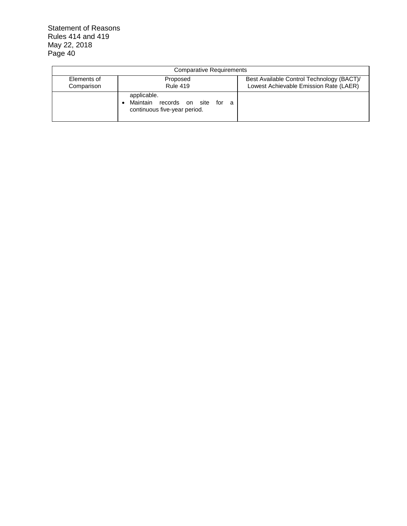| <b>Comparative Requirements</b> |                                                                                    |                                                                                     |  |  |  |  |  |  |
|---------------------------------|------------------------------------------------------------------------------------|-------------------------------------------------------------------------------------|--|--|--|--|--|--|
| Elements of<br>Comparison       | Proposed<br><b>Rule 419</b>                                                        | Best Available Control Technology (BACT)/<br>Lowest Achievable Emission Rate (LAER) |  |  |  |  |  |  |
|                                 | applicable.<br>Maintain records on site for<br>- a<br>continuous five-year period. |                                                                                     |  |  |  |  |  |  |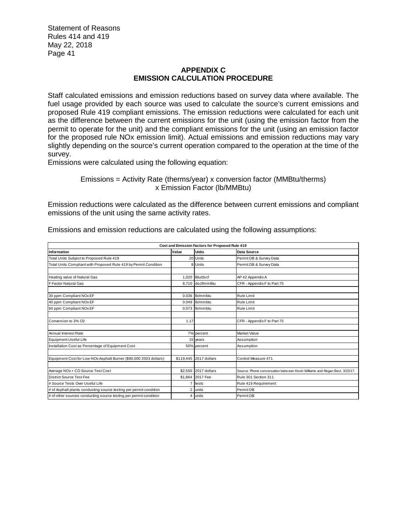# **APPENDIX C EMISSION CALCULATION PROCEDURE**

Staff calculated emissions and emission reductions based on survey data where available. The fuel usage provided by each source was used to calculate the source's current emissions and proposed Rule 419 compliant emissions. The emission reductions were calculated for each unit as the difference between the current emissions for the unit (using the emission factor from the permit to operate for the unit) and the compliant emissions for the unit (using an emission factor for the proposed rule NOx emission limit). Actual emissions and emission reductions may vary slightly depending on the source's current operation compared to the operation at the time of the survey.

Emissions were calculated using the following equation:

Emissions = Activity Rate (therms/year) x conversion factor (MMBtu/therms) x Emission Factor (lb/MMBtu)

Emission reductions were calculated as the difference between current emissions and compliant emissions of the unit using the same activity rates.

| Cost and Emission Factors for Proposed Rule 419                    |                |                        |                                                                            |  |  |  |  |  |  |
|--------------------------------------------------------------------|----------------|------------------------|----------------------------------------------------------------------------|--|--|--|--|--|--|
| Information                                                        | Value          | Units                  | Data Source                                                                |  |  |  |  |  |  |
| Total Units Subject to Proposed Rule 419                           |                | 20 Units               | Permit DB & Survey Data                                                    |  |  |  |  |  |  |
| Total Units Compliant with Proposed Rule 419 by Permit Condition   |                | 8 Units                | Permit DB & Survey Data                                                    |  |  |  |  |  |  |
|                                                                    |                |                        |                                                                            |  |  |  |  |  |  |
| Heating value of Natural Gas                                       |                | 1,020 Btu/dscf         | AP 42 Appendix A                                                           |  |  |  |  |  |  |
| F Factor Natural Gas                                               |                | 8.710 dscf/mmBtu       | CFR - Appendix F to Part 75                                                |  |  |  |  |  |  |
|                                                                    |                |                        |                                                                            |  |  |  |  |  |  |
| 30 ppm Compliant NOx EF                                            |                | 0.036 Ib/mmbtu         | Rule Limit                                                                 |  |  |  |  |  |  |
| 40 ppm Compliant NOx EF                                            | 0.049          | lb/mmbtu               | Rule Limit                                                                 |  |  |  |  |  |  |
| 60 ppm Compliant NOx EF                                            |                | 0.073 b/mmbtu          | <b>Rule Limit</b>                                                          |  |  |  |  |  |  |
|                                                                    |                |                        |                                                                            |  |  |  |  |  |  |
| Conversion to 3% O2                                                | 1.17           |                        | CFR - Appendix F to Part 75                                                |  |  |  |  |  |  |
|                                                                    |                |                        |                                                                            |  |  |  |  |  |  |
| Annual Interest Rate                                               |                | 7% percent             | Market Value                                                               |  |  |  |  |  |  |
| Equipment Useful Life                                              |                | 15 years               | Assumption                                                                 |  |  |  |  |  |  |
| Installation Cost as Percentage of Equipment Cost                  |                | 50% percent            | Assumption                                                                 |  |  |  |  |  |  |
|                                                                    |                |                        |                                                                            |  |  |  |  |  |  |
| Equipment Cost for Low-NOx Asphalt Burner (\$90,000 2003 dollars)  |                | \$119,445 2017 dollars | Control Measure 471                                                        |  |  |  |  |  |  |
|                                                                    |                |                        |                                                                            |  |  |  |  |  |  |
| Average NOx + CO Source Test Cost                                  |                | \$2,500 2017 dollars   | Source: Phone conversation between Kevin Williams and Regan Best, 3/22/17. |  |  |  |  |  |  |
| District Source Test Fee                                           |                | \$1,864 2017 Fee       | Rule 301 Section 311                                                       |  |  |  |  |  |  |
| # Source Tests Over Useful Life                                    |                | tests                  | Rule 419 Requirement                                                       |  |  |  |  |  |  |
| # of Asphalt plants conducting source testing per permit condition | $\overline{2}$ | lunits                 | Permit DB                                                                  |  |  |  |  |  |  |
| # of other sources conducting source testing per permit condition  | $\overline{4}$ | lunits                 | Permit DB                                                                  |  |  |  |  |  |  |

Emissions and emission reductions are calculated using the following assumptions: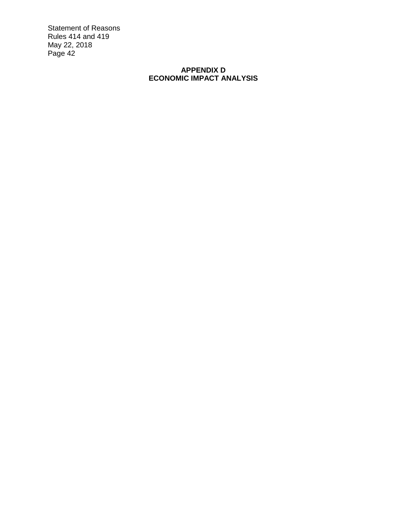# **APPENDIX D ECONOMIC IMPACT ANALYSIS**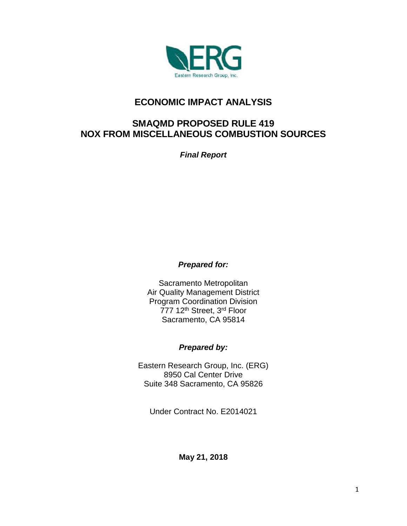

# **ECONOMIC IMPACT ANALYSIS**

# **SMAQMD PROPOSED RULE 419 NOX FROM MISCELLANEOUS COMBUSTION SOURCES**

*Final Report*

# *Prepared for:*

Sacramento Metropolitan Air Quality Management District Program Coordination Division 777 12<sup>th</sup> Street, 3<sup>rd</sup> Floor Sacramento, CA 95814

# *Prepared by:*

Eastern Research Group, Inc. (ERG) 8950 Cal Center Drive Suite 348 Sacramento, CA 95826

Under Contract No. E2014021

**May 21, 2018**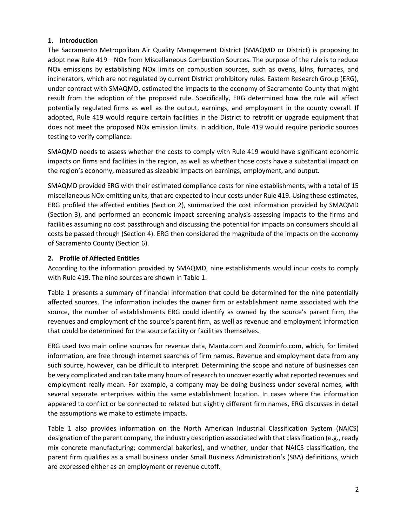# **1. Introduction**

The Sacramento Metropolitan Air Quality Management District (SMAQMD or District) is proposing to adopt new Rule 419—NOx from Miscellaneous Combustion Sources. The purpose of the rule is to reduce NOx emissions by establishing NOx limits on combustion sources, such as ovens, kilns, furnaces, and incinerators, which are not regulated by current District prohibitory rules. Eastern Research Group (ERG), under contract with SMAQMD, estimated the impacts to the economy of Sacramento County that might result from the adoption of the proposed rule. Specifically, ERG determined how the rule will affect potentially regulated firms as well as the output, earnings, and employment in the county overall. If adopted, Rule 419 would require certain facilities in the District to retrofit or upgrade equipment that does not meet the proposed NOx emission limits. In addition, Rule 419 would require periodic sources testing to verify compliance.

SMAQMD needs to assess whether the costs to comply with Rule 419 would have significant economic impacts on firms and facilities in the region, as well as whether those costs have a substantial impact on the region's economy, measured as sizeable impacts on earnings, employment, and output.

SMAQMD provided ERG with their estimated compliance costs for nine establishments, with a total of 15 miscellaneous NOx-emitting units, that are expected to incur costs under Rule 419. Using these estimates, ERG profiled the affected entities (Section 2), summarized the cost information provided by SMAQMD (Section 3), and performed an economic impact screening analysis assessing impacts to the firms and facilities assuming no cost passthrough and discussing the potential for impacts on consumers should all costs be passed through (Section 4). ERG then considered the magnitude of the impacts on the economy of Sacramento County (Section 6).

# **2. Profile of Affected Entities**

According to the information provided by SMAQMD, nine establishments would incur costs to comply with Rule 419. The nine sources are shown in Table 1.

Table 1 presents a summary of financial information that could be determined for the nine potentially affected sources. The information includes the owner firm or establishment name associated with the source, the number of establishments ERG could identify as owned by the source's parent firm, the revenues and employment of the source's parent firm, as well as revenue and employment information that could be determined for the source facility or facilities themselves.

ERG used two main online sources for revenue data, Manta.com and Zoominfo.com, which, for limited information, are free through internet searches of firm names. Revenue and employment data from any such source, however, can be difficult to interpret. Determining the scope and nature of businesses can be very complicated and can take many hours of research to uncover exactly what reported revenues and employment really mean. For example, a company may be doing business under several names, with several separate enterprises within the same establishment location. In cases where the information appeared to conflict or be connected to related but slightly different firm names, ERG discusses in detail the assumptions we make to estimate impacts.

Table 1 also provides information on the North American Industrial Classification System (NAICS) designation of the parent company, the industry description associated with that classification (e.g., ready mix concrete manufacturing; commercial bakeries), and whether, under that NAICS classification, the parent firm qualifies as a small business under Small Business Administration's (SBA) definitions, which are expressed either as an employment or revenue cutoff.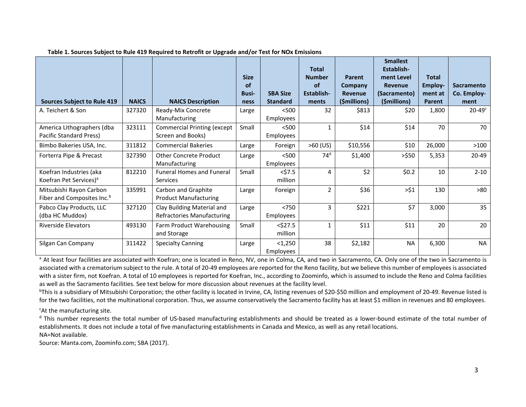|                                        |              |                                    |              |                  | <b>Total</b>    |              | <b>Smallest</b><br>Establish- |              |                   |
|----------------------------------------|--------------|------------------------------------|--------------|------------------|-----------------|--------------|-------------------------------|--------------|-------------------|
|                                        |              |                                    | <b>Size</b>  |                  | <b>Number</b>   | Parent       | ment Level                    | <b>Total</b> |                   |
|                                        |              |                                    | of           |                  | of              | Company      | <b>Revenue</b>                | Employ-      | <b>Sacramento</b> |
|                                        |              |                                    | <b>Busi-</b> | <b>SBA Size</b>  | Establish-      | Revenue      | (Sacramento)                  | ment at      | Co. Employ-       |
| <b>Sources Subject to Rule 419</b>     | <b>NAICS</b> | <b>NAICS Description</b>           | ness         | <b>Standard</b>  | ments           | (\$millions) | (\$millions)                  | Parent       | ment              |
| A. Teichert & Son                      | 327320       | Ready-Mix Concrete                 | Large        | < 500            | 32              | \$813        | \$20                          | 1,800        | $20-49^\circ$     |
|                                        |              | Manufacturing                      |              | Employees        |                 |              |                               |              |                   |
| America Lithographers (dba             | 323111       | <b>Commercial Printing (except</b> | Small        | < 500            | $\mathbf{1}$    | \$14         | \$14                          | 70           | 70                |
| Pacific Standard Press)                |              | Screen and Books)                  |              | <b>Employees</b> |                 |              |                               |              |                   |
| Bimbo Bakeries USA, Inc.               | 311812       | <b>Commercial Bakeries</b>         | Large        | Foreign          | $>60$ (US)      | \$10,556     | \$10                          | 26,000       | $>100$            |
| Forterra Pipe & Precast                | 327390       | <b>Other Concrete Product</b>      | Large        | < 500            | 74 <sup>d</sup> | \$1,400      | $>$ \$50                      | 5,353        | 20-49             |
|                                        |              | Manufacturing                      |              | <b>Employees</b> |                 |              |                               |              |                   |
| Koefran Industries (aka                | 812210       | <b>Funeral Homes and Funeral</b>   | Small        | $<$ \$7.5        | 4               | \$2          | \$0.2\$                       | 10           | $2 - 10$          |
| Koefran Pet Services) <sup>a</sup>     |              | Services                           |              | million          |                 |              |                               |              |                   |
| Mitsubishi Rayon Carbon                | 335991       | Carbon and Graphite                | Large        | Foreign          | $\overline{2}$  | \$36         | >51                           | 130          | >80               |
| Fiber and Composites Inc. <sup>b</sup> |              | <b>Product Manufacturing</b>       |              |                  |                 |              |                               |              |                   |
| Pabco Clay Products, LLC               | 327120       | Clay Building Material and         | Large        | < 750            | 3               | \$221        | \$7                           | 3,000        | 35                |
| (dba HC Muddox)                        |              | <b>Refractories Manufacturing</b>  |              | Employees        |                 |              |                               |              |                   |
| <b>Riverside Elevators</b>             | 493130       | Farm Product Warehousing           | Small        | $<$ \$27.5       | 1               | \$11         | \$11                          | 20           | 20                |
|                                        |              | and Storage                        |              | million          |                 |              |                               |              |                   |
| Silgan Can Company                     | 311422       | <b>Specialty Canning</b>           | Large        | $1,250$          | 38              | \$2,182      | <b>NA</b>                     | 6,300        | <b>NA</b>         |
|                                        |              |                                    |              | Employees        |                 |              |                               |              |                   |

#### **Table 1. Sources Subject to Rule 419 Required to Retrofit or Upgrade and/or Test for NOx Emissions**

<sup>a</sup> At least four facilities are associated with Koefran; one is located in Reno, NV, one in Colma, CA, and two in Sacramento, CA. Only one of the two in Sacramento is associated with a crematorium subject to the rule. A total of 20-49 employees are reported for the Reno facility, but we believe this number of employees is associated with a sister firm, not Koefran. A total of 10 employees is reported for Koefran, Inc., according to Zoominfo, which is assumed to include the Reno and Colma facilities as well as the Sacramento facilities. See text below for more discussion about revenues at the facility level.

<sup>b</sup>This is a subsidiary of Mitsubishi Corporation; the other facility is located in Irvine, CA, listing revenues of \$20-\$50 million and employment of 20-49. Revenue listed is for the two facilities, not the multinational corporation. Thus, we assume conservatively the Sacramento facility has at least \$1 million in revenues and 80 employees.

<sup>c</sup>At the manufacturing site.

<sup>d</sup> This number represents the total number of US-based manufacturing establishments and should be treated as a lower-bound estimate of the total number of establishments. It does not include a total of five manufacturing establishments in Canada and Mexico, as well as any retail locations. NA=Not available.

Source: Manta.com, Zoominfo.com; SBA (2017).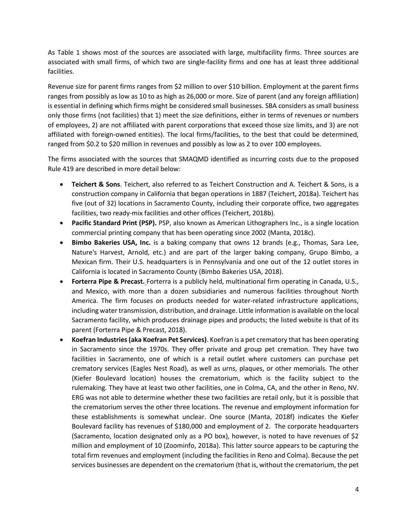As Table 1 shows most of the sources are associated with large, multifacility firms. Three sources are associated with small firms, of which two are single-facility firms and one has at least three additional facilities.

Revenue size for parent firms ranges from \$2 million to over \$10 billion. Employment at the parent firms ranges from possibly as low as 10 to as high as 26,000 or more. Size of parent (and any foreign affiliation) is essential in defining which firms might be considered small businesses. SBA considers as small business only those firms (not facilities) that 1) meet the size definitions, either in terms of revenues or numbers of employees, 2) are not affiliated with parent corporations that exceed those size limits, and 3) are not affiliated with foreign-owned entities). The local firms/facilities, to the best that could be determined, ranged from \$0.2 to \$20 million in revenues and possibly as low as 2 to over 100 employees.

The firms associated with the sources that SMAQMD identified as incurring costs due to the proposed Rule 419 are described in more detail below:

- **Teichert & Sons**. Teichert, also referred to as Teichert Construction and A. Teichert & Sons, is a construction company in California that began operations in 1887 (Teichert, 2018a). Teichert has five (out of 32) locations in Sacramento County, including their corporate office, two aggregates facilities, two ready-mix facilities and other offices (Teichert, 2018b).
- **Pacific Standard Print (PSP).** PSP, also known as American Lithographers Inc., is a single location commercial printing company that has been operating since 2002 (Manta, 2018c).
- **Bimbo Bakeries USA, Inc.** is a baking company that owns 12 brands (e.g., Thomas, Sara Lee, Nature's Harvest, Arnold, etc.) and are part of the larger baking company, Grupo Bimbo, a Mexican firm. Their U.S. headquarters is in Pennsylvania and one out of the 12 outlet stores in California is located in Sacramento County (Bimbo Bakeries USA, 2018).
- **Forterra Pipe & Precast.** Forterra is a publicly held, multinational firm operating in Canada, U.S., and Mexico, with more than a dozen subsidiaries and numerous facilities throughout North America. The firm focuses on products needed for water-related infrastructure applications, including water transmission, distribution, and drainage. Little information is available on the local Sacramento facility, which produces drainage pipes and products; the listed website is that of its parent (Forterra Pipe & Precast, 2018).
- **Koefran Industries (aka Koefran Pet Services)**. Koefran is a pet crematory that has been operating in Sacramento since the 1970s. They offer private and group pet cremation. They have two facilities in Sacramento, one of which is a retail outlet where customers can purchase pet crematory services (Eagles Nest Road), as well as urns, plaques, or other memorials. The other (Kiefer Boulevard location) houses the crematorium, which is the facility subject to the rulemaking. They have at least two other facilities, one in Colma, CA, and the other in Reno, NV. ERG was not able to determine whether these two facilities are retail only, but it is possible that the crematorium serves the other three locations. The revenue and employment information for these establishments is somewhat unclear. One source (Manta, 2018f) indicates the Kiefer Boulevard facility has revenues of \$180,000 and employment of 2. The corporate headquarters (Sacramento, location designated only as a PO box), however, is noted to have revenues of \$2 million and employment of 10 (Zoominfo, 2018a). This latter source appears to be capturing the total firm revenues and employment (including the facilities in Reno and Colma). Because the pet services businesses are dependent on the crematorium (that is, without the crematorium, the pet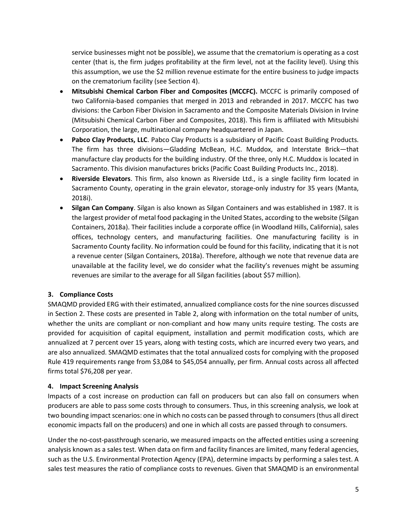service businesses might not be possible), we assume that the crematorium is operating as a cost center (that is, the firm judges profitability at the firm level, not at the facility level). Using this this assumption, we use the \$2 million revenue estimate for the entire business to judge impacts on the crematorium facility (see Section 4).

- **Mitsubishi Chemical Carbon Fiber and Composites (MCCFC).** MCCFC is primarily composed of two California-based companies that merged in 2013 and rebranded in 2017. MCCFC has two divisions: the Carbon Fiber Division in Sacramento and the Composite Materials Division in Irvine (Mitsubishi Chemical Carbon Fiber and Composites, 2018). This firm is affiliated with Mitsubishi Corporation, the large, multinational company headquartered in Japan.
- **Pabco Clay Products, LLC**. Pabco Clay Products is a subsidiary of Pacific Coast Building Products. The firm has three divisions—Gladding McBean, H.C. Muddox, and Interstate Brick—that manufacture clay products for the building industry. Of the three, only H.C. Muddox is located in Sacramento. This division manufactures bricks (Pacific Coast Building Products Inc., 2018).
- **Riverside Elevators**. This firm, also known as Riverside Ltd., is a single facility firm located in Sacramento County, operating in the grain elevator, storage-only industry for 35 years (Manta, 2018i).
- **Silgan Can Company**. Silgan is also known as Silgan Containers and was established in 1987. It is the largest provider of metal food packaging in the United States, according to the website (Silgan Containers, 2018a). Their facilities include a corporate office (in Woodland Hills, California), sales offices, technology centers, and manufacturing facilities. One manufacturing facility is in Sacramento County facility. No information could be found for this facility, indicating that it is not a revenue center (Silgan Containers, 2018a). Therefore, although we note that revenue data are unavailable at the facility level, we do consider what the facility's revenues might be assuming revenues are similar to the average for all Silgan facilities (about \$57 million).

# **3. Compliance Costs**

SMAQMD provided ERG with their estimated, annualized compliance costs for the nine sources discussed in Section 2. These costs are presented in Table 2, along with information on the total number of units, whether the units are compliant or non-compliant and how many units require testing. The costs are provided for acquisition of capital equipment, installation and permit modification costs, which are annualized at 7 percent over 15 years, along with testing costs, which are incurred every two years, and are also annualized. SMAQMD estimates that the total annualized costs for complying with the proposed Rule 419 requirements range from \$3,084 to \$45,054 annually, per firm. Annual costs across all affected firms total \$76,208 per year.

# **4. Impact Screening Analysis**

Impacts of a cost increase on production can fall on producers but can also fall on consumers when producers are able to pass some costs through to consumers. Thus, in this screening analysis, we look at two bounding impact scenarios: one in which no costs can be passed through to consumers (thus all direct economic impacts fall on the producers) and one in which all costs are passed through to consumers.

Under the no-cost-passthrough scenario, we measured impacts on the affected entities using a screening analysis known as a sales test. When data on firm and facility finances are limited, many federal agencies, such as the U.S. Environmental Protection Agency (EPA), determine impacts by performing a sales test. A sales test measures the ratio of compliance costs to revenues. Given that SMAQMD is an environmental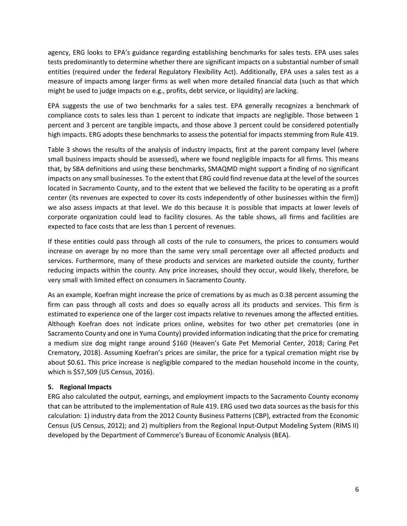agency, ERG looks to EPA's guidance regarding establishing benchmarks for sales tests. EPA uses sales tests predominantly to determine whether there are significant impacts on a substantial number of small entities (required under the federal Regulatory Flexibility Act). Additionally, EPA uses a sales test as a measure of impacts among larger firms as well when more detailed financial data (such as that which might be used to judge impacts on e.g., profits, debt service, or liquidity) are lacking.

EPA suggests the use of two benchmarks for a sales test. EPA generally recognizes a benchmark of compliance costs to sales less than 1 percent to indicate that impacts are negligible. Those between 1 percent and 3 percent are tangible impacts, and those above 3 percent could be considered potentially high impacts. ERG adopts these benchmarks to assess the potential for impacts stemming from Rule 419.

Table 3 shows the results of the analysis of industry impacts, first at the parent company level (where small business impacts should be assessed), where we found negligible impacts for all firms. This means that, by SBA definitions and using these benchmarks, SMAQMD might support a finding of no significant impacts on any small businesses. To the extent that ERG could find revenue data at the level of the sources located in Sacramento County, and to the extent that we believed the facility to be operating as a profit center (its revenues are expected to cover its costs independently of other businesses within the firm)) we also assess impacts at that level. We do this because it is possible that impacts at lower levels of corporate organization could lead to facility closures. As the table shows, all firms and facilities are expected to face costs that are less than 1 percent of revenues.

If these entities could pass through all costs of the rule to consumers, the prices to consumers would increase on average by no more than the same very small percentage over all affected products and services. Furthermore, many of these products and services are marketed outside the county, further reducing impacts within the county. Any price increases, should they occur, would likely, therefore, be very small with limited effect on consumers in Sacramento County.

As an example, Koefran might increase the price of cremations by as much as 0.38 percent assuming the firm can pass through all costs and does so equally across all its products and services. This firm is estimated to experience one of the larger cost impacts relative to revenues among the affected entities. Although Koefran does not indicate prices online, websites for two other pet crematories (one in Sacramento County and one in Yuma County) provided information indicating that the price for cremating a medium size dog might range around \$160 (Heaven's Gate Pet Memorial Center, 2018; Caring Pet Crematory, 2018). Assuming Koefran's prices are similar, the price for a typical cremation might rise by about \$0.61. This price increase is negligible compared to the median household income in the county, which is \$57,509 (US Census, 2016).

# **5. Regional Impacts**

ERG also calculated the output, earnings, and employment impacts to the Sacramento County economy that can be attributed to the implementation of Rule 419. ERG used two data sources as the basis for this calculation: 1) industry data from the 2012 County Business Patterns (CBP), extracted from the Economic Census (US Census, 2012); and 2) multipliers from the Regional Input-Output Modeling System (RIMS II) developed by the Department of Commerce's Bureau of Economic Analysis (BEA).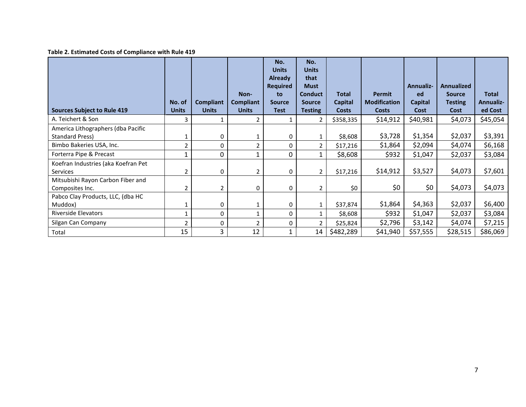# **Table 2. Estimated Costs of Compliance with Rule 419**

| <b>Sources Subject to Rule 419</b>                    | No. of<br><b>Units</b> | Compliant<br><b>Units</b> | Non-<br>Compliant<br><b>Units</b> | No.<br><b>Units</b><br><b>Already</b><br><b>Required</b><br>to<br><b>Source</b><br><b>Test</b> | No.<br><b>Units</b><br>that<br><b>Must</b><br><b>Conduct</b><br><b>Source</b><br><b>Testing</b> | <b>Total</b><br><b>Capital</b><br><b>Costs</b> | <b>Permit</b><br><b>Modification</b><br><b>Costs</b> | <b>Annualiz-</b><br>ed<br>Capital<br>Cost | <b>Annualized</b><br><b>Source</b><br><b>Testing</b><br>Cost | <b>Total</b><br><b>Annualiz-</b><br>ed Cost |
|-------------------------------------------------------|------------------------|---------------------------|-----------------------------------|------------------------------------------------------------------------------------------------|-------------------------------------------------------------------------------------------------|------------------------------------------------|------------------------------------------------------|-------------------------------------------|--------------------------------------------------------------|---------------------------------------------|
| A. Teichert & Son                                     | 3                      | 1                         | 2                                 |                                                                                                | 2                                                                                               | \$358,335                                      | \$14,912                                             | \$40,981                                  | \$4,073                                                      | \$45,054                                    |
| America Lithographers (dba Pacific<br>Standard Press) | 1                      | 0                         | 1                                 | 0                                                                                              | $\mathbf{1}$                                                                                    | \$8,608                                        | \$3,728                                              | \$1,354                                   | \$2,037                                                      | \$3,391                                     |
| Bimbo Bakeries USA, Inc.                              | 2                      | 0                         | $\overline{2}$                    | 0                                                                                              | $\overline{2}$                                                                                  | \$17,216                                       | \$1,864                                              | \$2,094                                   | \$4,074                                                      | \$6,168                                     |
| Forterra Pipe & Precast                               | $\mathbf{1}$           | $\mathbf 0$               | $\mathbf{1}$                      | 0                                                                                              | $\mathbf{1}$                                                                                    | \$8,608                                        | \$932                                                | \$1,047                                   | \$2,037                                                      | \$3,084                                     |
| Koefran Industries (aka Koefran Pet<br>Services       | 2                      | 0                         | 2                                 | 0                                                                                              | $\overline{2}$                                                                                  | \$17,216                                       | \$14,912                                             | \$3,527                                   | \$4,073                                                      | \$7,601                                     |
| Mitsubishi Rayon Carbon Fiber and<br>Composites Inc.  | 2                      | $\overline{2}$            | 0                                 | 0                                                                                              | $\overline{2}$                                                                                  | \$0                                            | \$0                                                  | \$0                                       | \$4,073                                                      | \$4,073                                     |
| Pabco Clay Products, LLC, (dba HC<br>Muddox)          | 1                      | 0                         | 1                                 | 0                                                                                              | $\mathbf{1}$                                                                                    | \$37,874                                       | \$1,864                                              | \$4,363                                   | \$2,037                                                      | \$6,400                                     |
| <b>Riverside Elevators</b>                            | 1                      | 0                         | 1                                 | 0                                                                                              | 1                                                                                               | \$8,608                                        | \$932                                                | \$1,047                                   | \$2,037                                                      | \$3,084                                     |
| Silgan Can Company                                    | 2                      | 0                         | $\overline{2}$                    | 0                                                                                              | $\overline{2}$                                                                                  | \$25,824                                       | \$2,796                                              | \$3,142                                   | \$4,074                                                      | \$7,215                                     |
| Total                                                 | 15                     | 3                         | 12                                |                                                                                                | 14                                                                                              | \$482,289                                      | \$41,940                                             | \$57,555                                  | \$28,515                                                     | \$86,069                                    |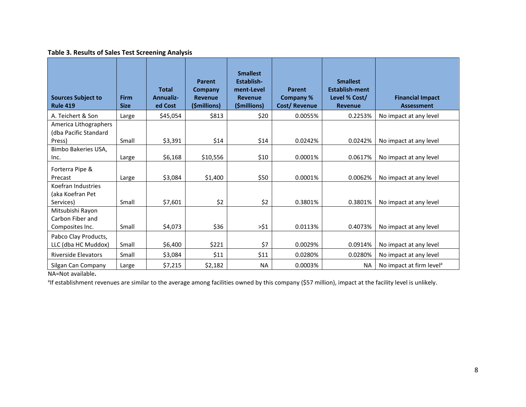# **Table 3. Results of Sales Test Screening Analysis**

| <b>Sources Subject to</b><br><b>Rule 419</b>             | <b>Firm</b><br><b>Size</b> | <b>Total</b><br>Annualiz-<br>ed Cost | Parent<br>Company<br><b>Revenue</b><br>(\$millions) | <b>Smallest</b><br>Establish-<br>ment-Level<br><b>Revenue</b><br>(\$millions) | <b>Parent</b><br><b>Company %</b><br>Cost/Revenue | <b>Smallest</b><br><b>Establish-ment</b><br>Level % Cost/<br><b>Revenue</b> | <b>Financial Impact</b><br><b>Assessment</b> |
|----------------------------------------------------------|----------------------------|--------------------------------------|-----------------------------------------------------|-------------------------------------------------------------------------------|---------------------------------------------------|-----------------------------------------------------------------------------|----------------------------------------------|
| A. Teichert & Son                                        | Large                      | \$45,054                             | \$813                                               | \$20                                                                          | 0.0055%                                           | 0.2253%                                                                     | No impact at any level                       |
| America Lithographers<br>(dba Pacific Standard<br>Press) | Small                      | \$3,391                              | \$14                                                | \$14                                                                          | 0.0242%                                           | 0.0242%                                                                     | No impact at any level                       |
| Bimbo Bakeries USA,<br>Inc.                              | Large                      | \$6,168                              | \$10,556                                            | \$10                                                                          | 0.0001%                                           | 0.0617%                                                                     | No impact at any level                       |
| Forterra Pipe &<br>Precast                               | Large                      | \$3,084                              | \$1,400                                             | \$50                                                                          | 0.0001%                                           | 0.0062%                                                                     | No impact at any level                       |
| Koefran Industries<br>(aka Koefran Pet<br>Services)      | Small                      | \$7,601                              | \$2                                                 | \$2                                                                           | 0.3801%                                           | 0.3801%                                                                     | No impact at any level                       |
| Mitsubishi Rayon<br>Carbon Fiber and<br>Composites Inc.  | Small                      | \$4,073                              | \$36                                                | >51                                                                           | 0.0113%                                           | 0.4073%                                                                     | No impact at any level                       |
| Pabco Clay Products,<br>LLC (dba HC Muddox)              | Small                      | \$6,400                              | \$221                                               | \$7                                                                           | 0.0029%                                           | 0.0914%                                                                     | No impact at any level                       |
| <b>Riverside Elevators</b>                               | Small                      | \$3,084                              | \$11                                                | \$11                                                                          | 0.0280%                                           | 0.0280%                                                                     | No impact at any level                       |
| Silgan Can Company                                       | Large                      | \$7,215                              | \$2,182                                             | <b>NA</b>                                                                     | 0.0003%                                           | <b>NA</b>                                                                   | No impact at firm level <sup>a</sup>         |

NA=Not available**.**

<sup>a</sup>lf establishment revenues are similar to the average among facilities owned by this company (\$57 million), impact at the facility level is unlikely.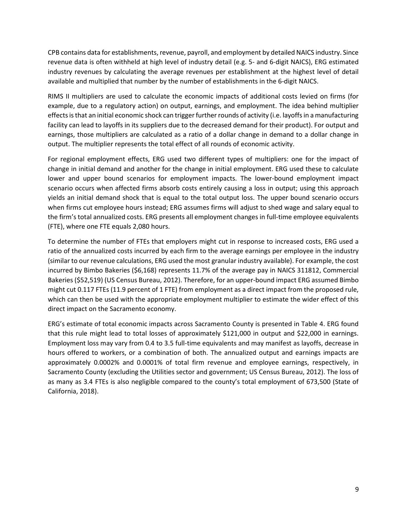CPB contains data for establishments, revenue, payroll, and employment by detailed NAICS industry. Since revenue data is often withheld at high level of industry detail (e.g. 5- and 6-digit NAICS), ERG estimated industry revenues by calculating the average revenues per establishment at the highest level of detail available and multiplied that number by the number of establishments in the 6-digit NAICS.

RIMS II multipliers are used to calculate the economic impacts of additional costs levied on firms (for example, due to a regulatory action) on output, earnings, and employment. The idea behind multiplier effects is that an initial economic shock can trigger further rounds of activity (i.e. layoffs in a manufacturing facility can lead to layoffs in its suppliers due to the decreased demand for their product). For output and earnings, those multipliers are calculated as a ratio of a dollar change in demand to a dollar change in output. The multiplier represents the total effect of all rounds of economic activity.

For regional employment effects, ERG used two different types of multipliers: one for the impact of change in initial demand and another for the change in initial employment. ERG used these to calculate lower and upper bound scenarios for employment impacts. The lower-bound employment impact scenario occurs when affected firms absorb costs entirely causing a loss in output; using this approach yields an initial demand shock that is equal to the total output loss. The upper bound scenario occurs when firms cut employee hours instead; ERG assumes firms will adjust to shed wage and salary equal to the firm's total annualized costs. ERG presents all employment changes in full-time employee equivalents (FTE), where one FTE equals 2,080 hours.

To determine the number of FTEs that employers might cut in response to increased costs, ERG used a ratio of the annualized costs incurred by each firm to the average earnings per employee in the industry (similar to our revenue calculations, ERG used the most granular industry available). For example, the cost incurred by Bimbo Bakeries (\$6,168) represents 11.7% of the average pay in NAICS 311812, Commercial Bakeries (\$52,519) (US Census Bureau, 2012). Therefore, for an upper-bound impact ERG assumed Bimbo might cut 0.117 FTEs (11.9 percent of 1 FTE) from employment as a direct impact from the proposed rule, which can then be used with the appropriate employment multiplier to estimate the wider effect of this direct impact on the Sacramento economy.

ERG's estimate of total economic impacts across Sacramento County is presented in Table 4. ERG found that this rule might lead to total losses of approximately \$121,000 in output and \$22,000 in earnings. Employment loss may vary from 0.4 to 3.5 full-time equivalents and may manifest as layoffs, decrease in hours offered to workers, or a combination of both. The annualized output and earnings impacts are approximately 0.0002% and 0.0001% of total firm revenue and employee earnings, respectively, in Sacramento County (excluding the Utilities sector and government; US Census Bureau, 2012). The loss of as many as 3.4 FTEs is also negligible compared to the county's total employment of 673,500 (State of California, 2018).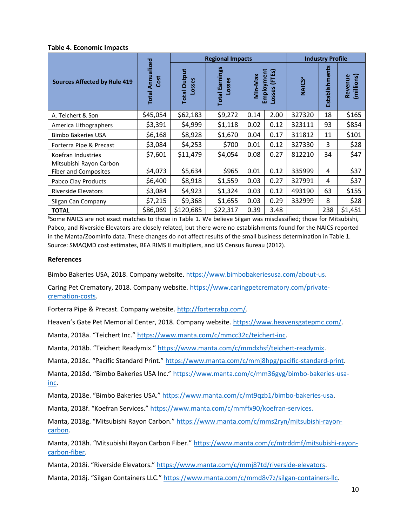#### **Table 4. Economic Impacts**

|                                                        |                                    | <b>Regional Impacts</b>       |                                 |         |                                |                          | <b>Industry Profile</b> |                       |  |  |
|--------------------------------------------------------|------------------------------------|-------------------------------|---------------------------------|---------|--------------------------------|--------------------------|-------------------------|-----------------------|--|--|
| <b>Sources Affected by Rule 419</b>                    | Annualized<br>Cost<br><b>Total</b> | <b>Total Output</b><br>Losses | <b>Total Earnings</b><br>Losses | Min-Max | Employment<br>(FTEs)<br>Losses | <b>NAICS<sup>a</sup></b> | Establishments          | (millions)<br>Revenue |  |  |
| A. Teichert & Son                                      | \$45,054                           | \$62,183                      | \$9,272                         | 0.14    | 2.00                           | 327320                   | 18                      | \$165                 |  |  |
| America Lithographers                                  | \$3,391                            | \$4,999                       | \$1,118                         | 0.02    | 0.12                           | 323111                   | 93                      | \$854                 |  |  |
| <b>Bimbo Bakeries USA</b>                              | \$6,168                            | \$8,928                       | \$1,670                         | 0.04    | 0.17                           | 311812                   | 11                      | \$101                 |  |  |
| Forterra Pipe & Precast                                | \$3,084                            | \$4,253                       | \$700                           | 0.01    | 0.12                           | 327330                   | 3                       | \$28                  |  |  |
| Koefran Industries                                     | \$7,601                            | \$11,479                      | \$4,054                         | 0.08    | 0.27                           | 812210                   | 34                      | \$47                  |  |  |
| Mitsubishi Rayon Carbon<br><b>Fiber and Composites</b> | \$4,073                            | \$5,634                       | \$965                           | 0.01    | 0.12                           | 335999                   | 4                       | \$37                  |  |  |
| Pabco Clay Products                                    | \$6,400                            | \$8,918                       | \$1,559                         | 0.03    | 0.27                           | 327991                   | 4                       | \$37                  |  |  |
| <b>Riverside Elevators</b>                             | \$3,084                            | \$4,923                       | \$1,324                         | 0.03    | 0.12                           | 493190                   | 63                      | \$155                 |  |  |
| Silgan Can Company                                     | \$7,215                            | \$9,368                       | \$1,655                         | 0.03    | 0.29                           | 332999                   | 8                       | \$28                  |  |  |
| <b>TOTAL</b>                                           | \$86,069                           | \$120,685                     | \$22,317                        | 0.39    | 3.48                           |                          | 238                     | \$1,451               |  |  |

<sup>a</sup>Some NAICS are not exact matches to those in Table 1. We believe Silgan was misclassified; those for Mitsubishi, Pabco, and Riverside Elevators are closely related, but there were no establishments found for the NAICS reported in the Manta/Zoominfo data. These changes do not affect results of the small business determination in Table 1. Source: SMAQMD cost estimates, BEA RIMS II multipliers, and US Census Bureau (2012).

#### **References**

Bimbo Bakeries USA, 2018. Company website. https://www.bimbobakeriesusa.com/about-us.

Caring Pet Crematory, 2018. Company website. https://www.caringpetcrematory.com/privatecremation-costs.

Forterra Pipe & Precast. Company website. http://forterrabp.com/.

Heaven's Gate Pet Memorial Center, 2018. Company website. https://www.heavensgatepmc.com/.

Manta, 2018a. "Teichert Inc." https://www.manta.com/c/mmcc32c/teichert-inc.

Manta, 2018b. "Teichert Readymix." https://www.manta.com/c/mmdxhsf/teichert-readymix.

Manta, 2018c. "Pacific Standard Print." https://www.manta.com/c/mmj8hpg/pacific-standard-print.

Manta, 2018d. "Bimbo Bakeries USA Inc." https://www.manta.com/c/mm36gyg/bimbo-bakeries-usainc.

Manta, 2018e. "Bimbo Bakeries USA." https://www.manta.com/c/mt9qzb1/bimbo-bakeries-usa.

Manta, 2018f. "Koefran Services." https://www.manta.com/c/mmffx90/koefran-services.

Manta, 2018g. "Mitsubishi Rayon Carbon." https://www.manta.com/c/mms2ryn/mitsubishi-rayoncarbon.

Manta, 2018h. "Mitsubishi Rayon Carbon Fiber." https://www.manta.com/c/mtrddmf/mitsubishi-rayoncarbon-fiber.

Manta, 2018i. "Riverside Elevators." https://www.manta.com/c/mmj87td/riverside-elevators.

Manta, 2018j. "Silgan Containers LLC." https://www.manta.com/c/mmd8v7z/silgan-containers-llc.